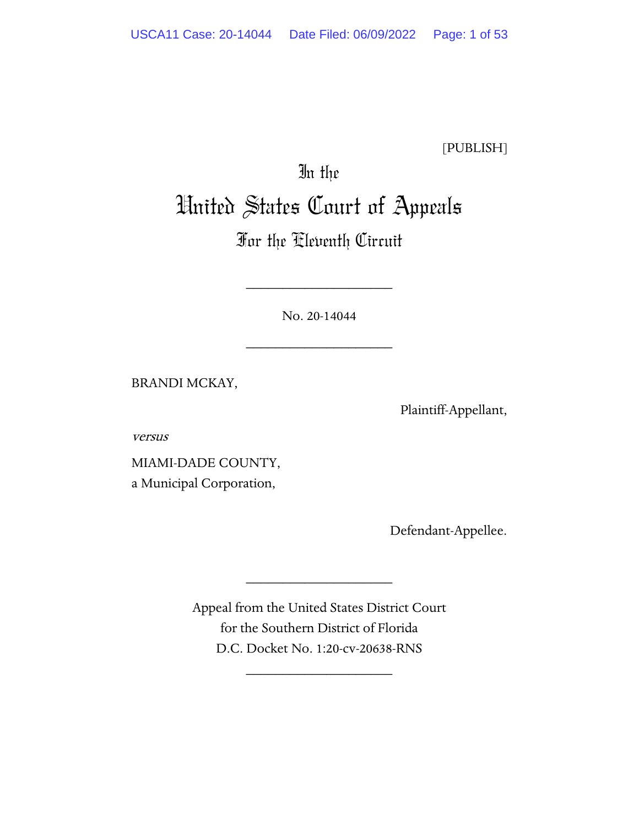[PUBLISH]

# In the United States Court of Appeals

## For the Eleventh Circuit

No. 20-14044

\_\_\_\_\_\_\_\_\_\_\_\_\_\_\_\_\_\_\_\_

\_\_\_\_\_\_\_\_\_\_\_\_\_\_\_\_\_\_\_\_

BRANDI MCKAY,

Plaintiff-Appellant,

versus

MIAMI-DADE COUNTY, a Municipal Corporation,

Defendant-Appellee.

Appeal from the United States District Court for the Southern District of Florida D.C. Docket No. 1:20-cv-20638-RNS

\_\_\_\_\_\_\_\_\_\_\_\_\_\_\_\_\_\_\_\_

\_\_\_\_\_\_\_\_\_\_\_\_\_\_\_\_\_\_\_\_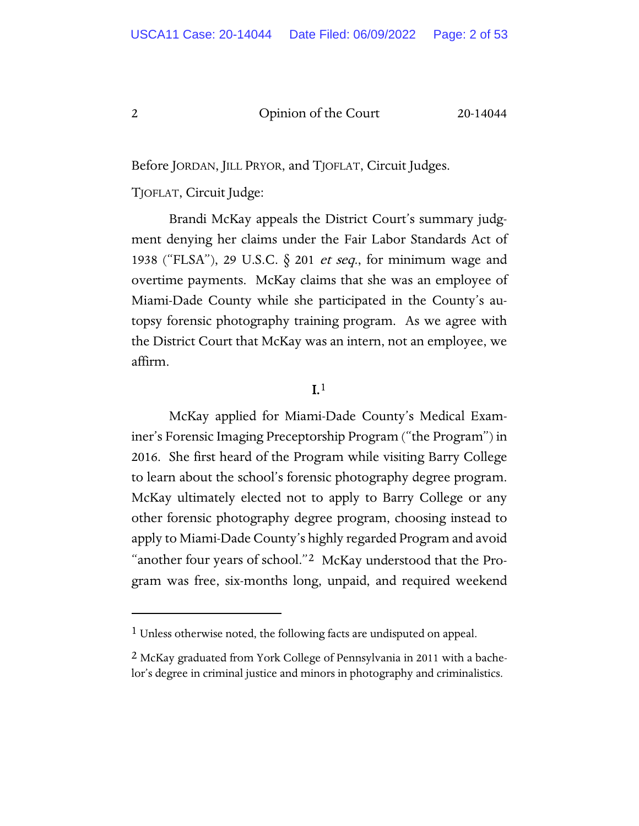Before JORDAN, JILL PRYOR, and TJOFLAT, Circuit Judges.

TJOFLAT, Circuit Judge:

Brandi McKay appeals the District Court's summary judgment denying her claims under the Fair Labor Standards Act of 1938 ("FLSA"), 29 U.S.C.  $\S$  201 *et seq.*, for minimum wage and overtime payments. McKay claims that she was an employee of Miami-Dade County while she participated in the County's autopsy forensic photography training program. As we agree with the District Court that McKay was an intern, not an employee, we affirm.

## $I<sup>1</sup>$

McKay applied for Miami-Dade County's Medical Examiner's Forensic Imaging Preceptorship Program ("the Program") in 2016. She first heard of the Program while visiting Barry College to learn about the school's forensic photography degree program. McKay ultimately elected not to apply to Barry College or any other forensic photography degree program, choosing instead to apply to Miami-Dade County's highly regarded Program and avoid "another four years of school."[2](#page-1-1) McKay understood that the Program was free, six-months long, unpaid, and required weekend

<span id="page-1-0"></span><sup>&</sup>lt;sup>1</sup> Unless otherwise noted, the following facts are undisputed on appeal.

<span id="page-1-1"></span><sup>&</sup>lt;sup>2</sup> McKay graduated from York College of Pennsylvania in 2011 with a bachelor's degree in criminal justice and minors in photography and criminalistics.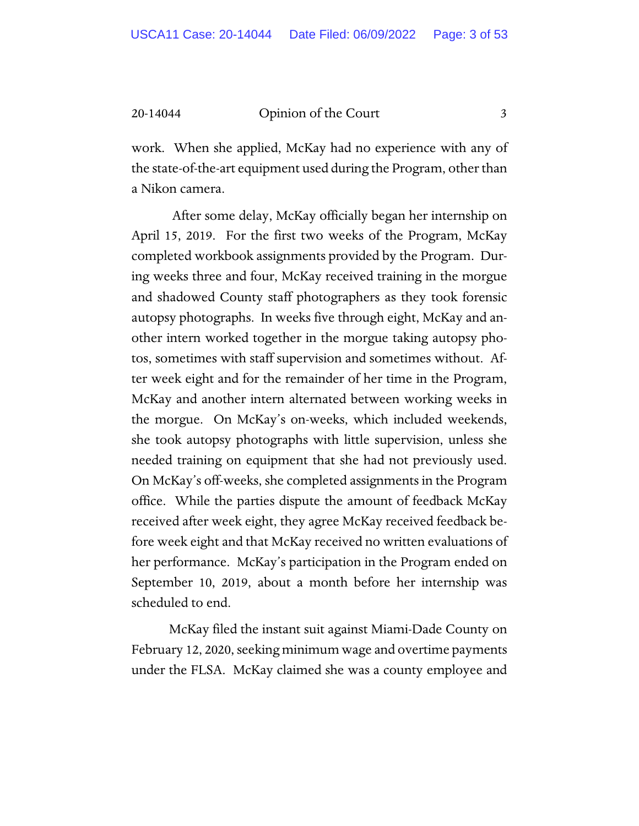work. When she applied, McKay had no experience with any of the state-of-the-art equipment used during the Program, other than a Nikon camera.

After some delay, McKay officially began her internship on April 15, 2019. For the first two weeks of the Program, McKay completed workbook assignments provided by the Program. During weeks three and four, McKay received training in the morgue and shadowed County staff photographers as they took forensic autopsy photographs. In weeks five through eight, McKay and another intern worked together in the morgue taking autopsy photos, sometimes with staff supervision and sometimes without. After week eight and for the remainder of her time in the Program, McKay and another intern alternated between working weeks in the morgue. On McKay's on-weeks, which included weekends, she took autopsy photographs with little supervision, unless she needed training on equipment that she had not previously used. On McKay's off-weeks, she completed assignments in the Program office. While the parties dispute the amount of feedback McKay received after week eight, they agree McKay received feedback before week eight and that McKay received no written evaluations of her performance. McKay's participation in the Program ended on September 10, 2019, about a month before her internship was scheduled to end.

McKay filed the instant suit against Miami-Dade County on February 12, 2020, seeking minimum wage and overtime payments under the FLSA. McKay claimed she was a county employee and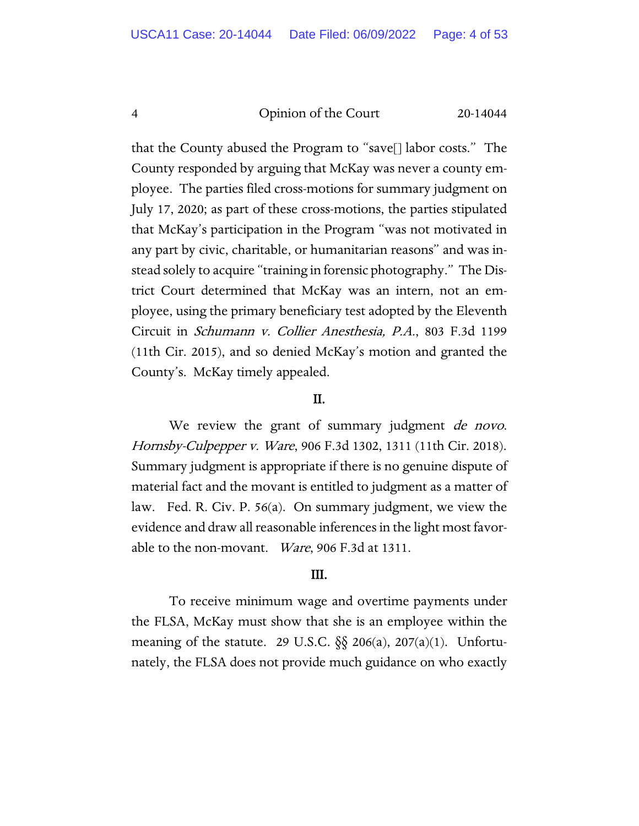that the County abused the Program to "save[] labor costs." The County responded by arguing that McKay was never a county employee. The parties filed cross-motions for summary judgment on July 17, 2020; as part of these cross-motions, the parties stipulated that McKay's participation in the Program "was not motivated in any part by civic, charitable, or humanitarian reasons" and was instead solely to acquire "training in forensic photography." The District Court determined that McKay was an intern, not an employee, using the primary beneficiary test adopted by the Eleventh Circuit in Schumann v. Collier Anesthesia, P.A., 803 F.3d 1199 (11th Cir. 2015), and so denied McKay's motion and granted the County's. McKay timely appealed.

## II.

We review the grant of summary judgment de novo. Hornsby-Culpepper v. Ware, 906 F.3d 1302, 1311 (11th Cir. 2018). Summary judgment is appropriate if there is no genuine dispute of material fact and the movant is entitled to judgment as a matter of law. Fed. R. Civ. P. 56(a). On summary judgment, we view the evidence and draw all reasonable inferences in the light most favorable to the non-movant. Ware, 906 F.3d at 1311.

## III.

To receive minimum wage and overtime payments under the FLSA, McKay must show that she is an employee within the meaning of the statute. 29 U.S.C.  $\S$  206(a), 207(a)(1). Unfortunately, the FLSA does not provide much guidance on who exactly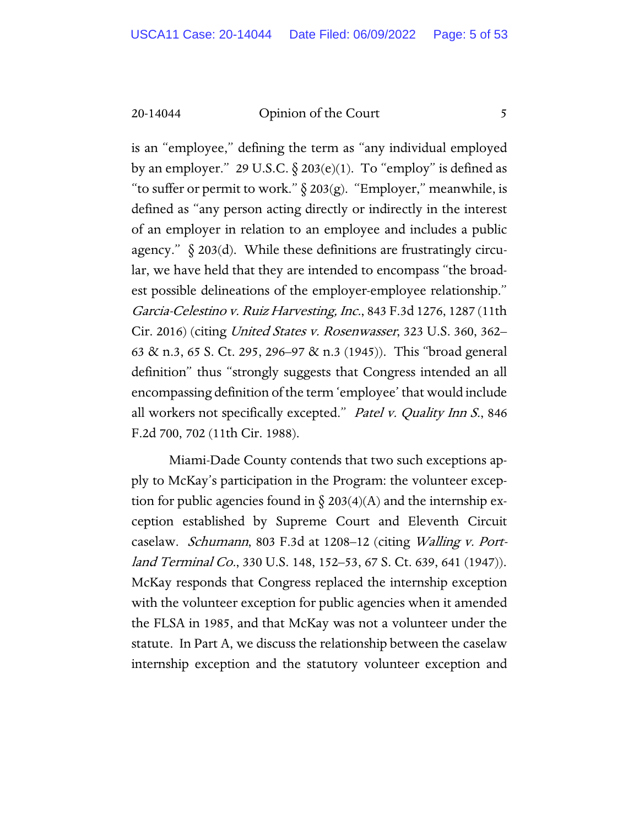is an "employee," defining the term as "any individual employed by an employer." 29 U.S.C.  $\S$  203(e)(1). To "employ" is defined as "to suffer or permit to work."  $\S 203(g)$ . "Employer," meanwhile, is defined as "any person acting directly or indirectly in the interest of an employer in relation to an employee and includes a public agency."  $\S 203(d)$ . While these definitions are frustratingly circular, we have held that they are intended to encompass "the broadest possible delineations of the employer-employee relationship." Garcia-Celestino v. Ruiz Harvesting, Inc., 843 F.3d 1276, 1287 (11th Cir. 2016) (citing United States v. Rosenwasser, 323 U.S. 360, 362– 63 & n.3, 65 S. Ct. 295, 296–97 & n.3 (1945)). This "broad general definition" thus "strongly suggests that Congress intended an all encompassing definition of the term 'employee' that would include all workers not specifically excepted." Patel v. Quality Inn S., 846 F.2d 700, 702 (11th Cir. 1988).

Miami-Dade County contends that two such exceptions apply to McKay's participation in the Program: the volunteer exception for public agencies found in  $\S 203(4)(A)$  and the internship exception established by Supreme Court and Eleventh Circuit caselaw. Schumann, 803 F.3d at 1208–12 (citing Walling v. Portland Terminal Co., 330 U.S. 148, 152–53, 67 S. Ct. 639, 641 (1947)). McKay responds that Congress replaced the internship exception with the volunteer exception for public agencies when it amended the FLSA in 1985, and that McKay was not a volunteer under the statute. In Part A, we discuss the relationship between the caselaw internship exception and the statutory volunteer exception and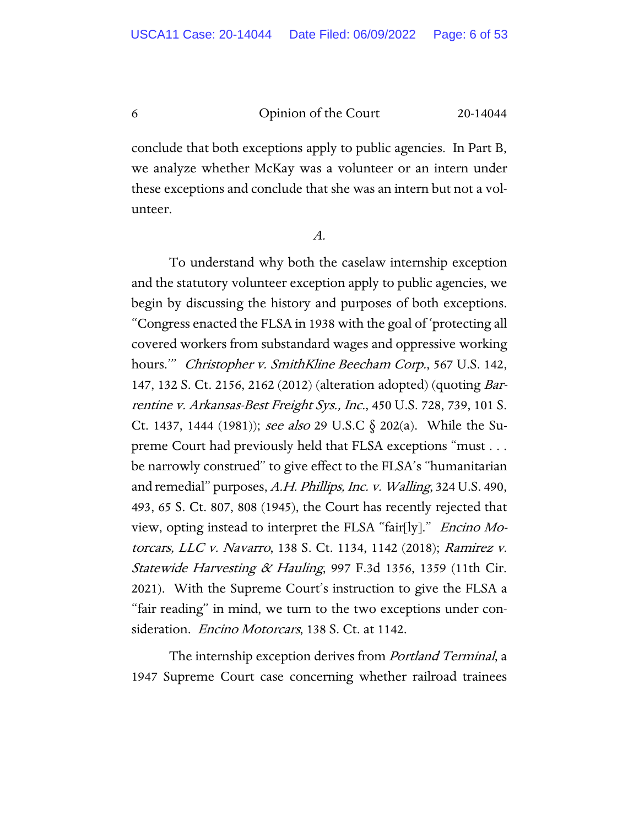conclude that both exceptions apply to public agencies. In Part B, we analyze whether McKay was a volunteer or an intern under these exceptions and conclude that she was an intern but not a volunteer.

A.

To understand why both the caselaw internship exception and the statutory volunteer exception apply to public agencies, we begin by discussing the history and purposes of both exceptions. "Congress enacted the FLSA in 1938 with the goal of 'protecting all covered workers from substandard wages and oppressive working hours." Christopher v. SmithKline Beecham Corp., 567 U.S. 142, 147, 132 S. Ct. 2156, 2162 (2012) (alteration adopted) (quoting Barrentine v. Arkansas-Best Freight Sys., Inc., 450 U.S. 728, 739, 101 S. Ct. 1437, 1444 (1981)); see also 29 U.S.C  $\S$  202(a). While the Supreme Court had previously held that FLSA exceptions "must . . . be narrowly construed" to give effect to the FLSA's "humanitarian and remedial" purposes, A.H. Phillips, Inc. v. Walling, 324 U.S. 490, 493, 65 S. Ct. 807, 808 (1945), the Court has recently rejected that view, opting instead to interpret the FLSA "fair[ly]." Encino Motorcars, LLC v. Navarro, 138 S. Ct. 1134, 1142 (2018); Ramirez v. Statewide Harvesting & Hauling, 997 F.3d 1356, 1359 (11th Cir. 2021). With the Supreme Court's instruction to give the FLSA a "fair reading" in mind, we turn to the two exceptions under consideration. *Encino Motorcars*, 138 S. Ct. at 1142.

The internship exception derives from *Portland Terminal*, a 1947 Supreme Court case concerning whether railroad trainees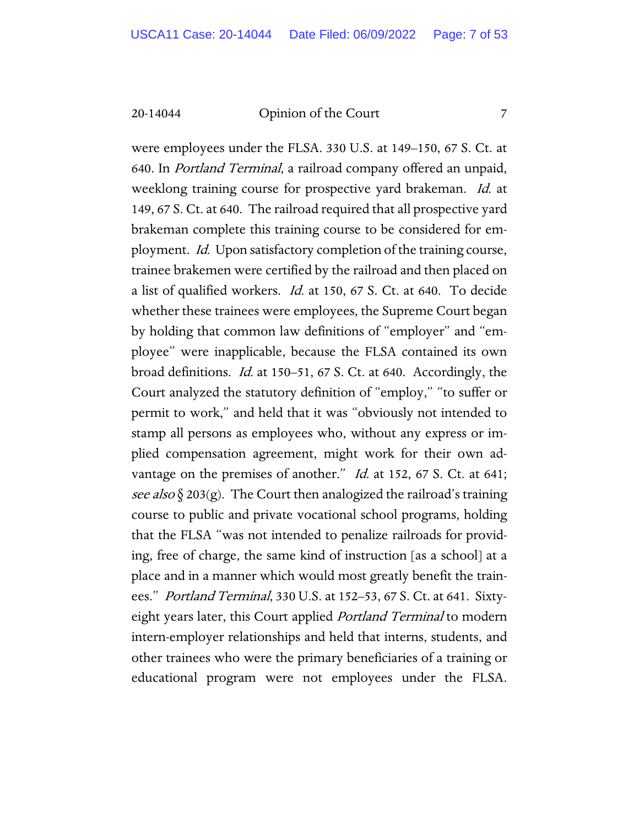were employees under the FLSA. 330 U.S. at 149–150, 67 S. Ct. at 640. In Portland Terminal, a railroad company offered an unpaid, weeklong training course for prospective yard brakeman. Id. at 149, 67 S. Ct. at 640. The railroad required that all prospective yard brakeman complete this training course to be considered for employment. Id. Upon satisfactory completion of the training course, trainee brakemen were certified by the railroad and then placed on a list of qualified workers. *Id.* at 150, 67 S. Ct. at 640. To decide whether these trainees were employees, the Supreme Court began by holding that common law definitions of "employer" and "employee" were inapplicable, because the FLSA contained its own broad definitions. Id. at 150–51, 67 S. Ct. at 640. Accordingly, the Court analyzed the statutory definition of "employ," "to suffer or permit to work," and held that it was "obviously not intended to stamp all persons as employees who, without any express or implied compensation agreement, might work for their own advantage on the premises of another." *Id.* at 152, 67 S. Ct. at 641; see also  $\S 203(g)$ . The Court then analogized the railroad's training course to public and private vocational school programs, holding that the FLSA "was not intended to penalize railroads for providing, free of charge, the same kind of instruction [as a school] at a place and in a manner which would most greatly benefit the trainees." *Portland Terminal*, 330 U.S. at 152–53, 67 S. Ct. at 641. Sixtyeight years later, this Court applied *Portland Terminal* to modern intern-employer relationships and held that interns, students, and other trainees who were the primary beneficiaries of a training or educational program were not employees under the FLSA.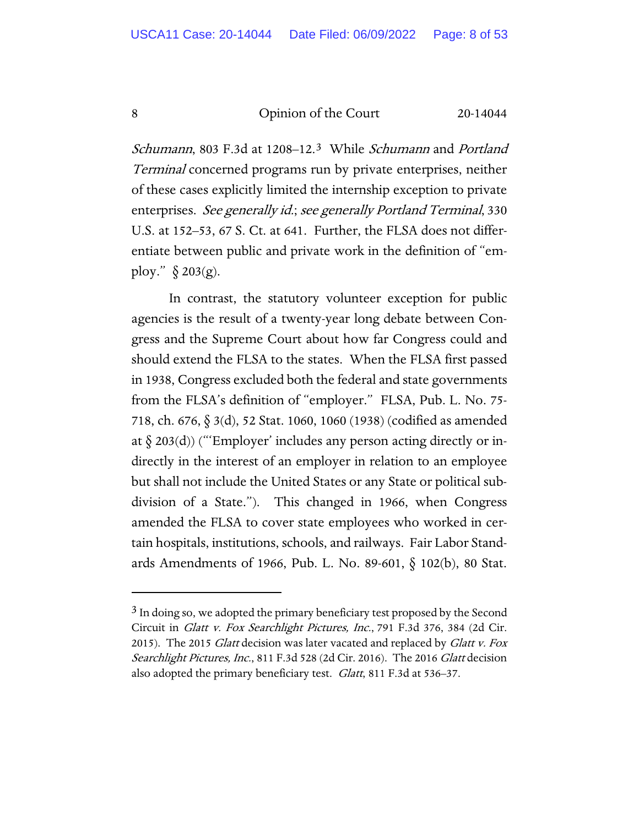Schumann, 80[3](#page-7-0) F.3d at 1208–12.<sup>3</sup> While Schumann and Portland Terminal concerned programs run by private enterprises, neither of these cases explicitly limited the internship exception to private enterprises. See generally id.; see generally Portland Terminal, 330 U.S. at 152–53, 67 S. Ct. at 641. Further, the FLSA does not differentiate between public and private work in the definition of "employ." § 203(g).

In contrast, the statutory volunteer exception for public agencies is the result of a twenty-year long debate between Congress and the Supreme Court about how far Congress could and should extend the FLSA to the states. When the FLSA first passed in 1938, Congress excluded both the federal and state governments from the FLSA's definition of "employer." FLSA, Pub. L. No. 75- 718, ch. 676, § 3(d), 52 Stat. 1060, 1060 (1938) (codified as amended at  $\S$  203(d)) ("Employer' includes any person acting directly or indirectly in the interest of an employer in relation to an employee but shall not include the United States or any State or political subdivision of a State."). This changed in 1966, when Congress amended the FLSA to cover state employees who worked in certain hospitals, institutions, schools, and railways. Fair Labor Standards Amendments of 1966, Pub. L. No. 89-601, § 102(b), 80 Stat.

<span id="page-7-0"></span><sup>&</sup>lt;sup>3</sup> In doing so, we adopted the primary beneficiary test proposed by the Second Circuit in Glatt v. Fox Searchlight Pictures, Inc., 791 F.3d 376, 384 (2d Cir. 2015). The 2015 Glatt decision was later vacated and replaced by Glatt v. Fox Searchlight Pictures, Inc., 811 F.3d 528 (2d Cir. 2016). The 2016 Glatt decision also adopted the primary beneficiary test. *Glatt*, 811 F.3d at 536–37.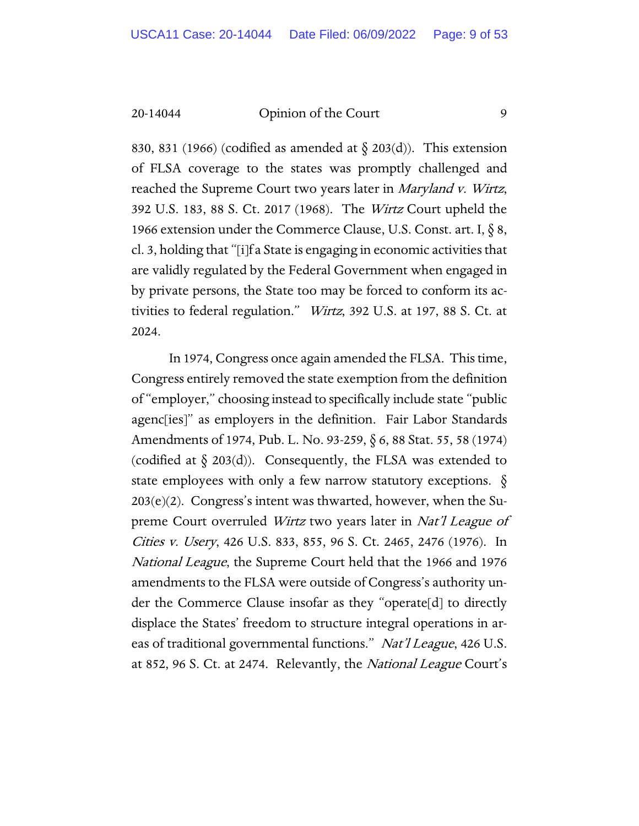830, 831 (1966) (codified as amended at  $\S$  203(d)). This extension of FLSA coverage to the states was promptly challenged and reached the Supreme Court two years later in Maryland v. Wirtz, 392 U.S. 183, 88 S. Ct. 2017 (1968). The Wirtz Court upheld the 1966 extension under the Commerce Clause, U.S. Const. art. I, § 8, cl. 3, holding that "[i]f a State is engaging in economic activities that are validly regulated by the Federal Government when engaged in by private persons, the State too may be forced to conform its activities to federal regulation." Wirtz, 392 U.S. at 197, 88 S. Ct. at 2024.

In 1974, Congress once again amended the FLSA. This time, Congress entirely removed the state exemption from the definition of "employer," choosing instead to specifically include state "public agenc[ies]" as employers in the definition. Fair Labor Standards Amendments of 1974, Pub. L. No. 93-259, § 6, 88 Stat. 55, 58 (1974) (codified at  $\S$  203(d)). Consequently, the FLSA was extended to state employees with only a few narrow statutory exceptions.  $\S$ 203(e)(2). Congress's intent was thwarted, however, when the Supreme Court overruled Wirtz two years later in Nat'l League of Cities v. Usery, 426 U.S. 833, 855, 96 S. Ct. 2465, 2476 (1976). In National League, the Supreme Court held that the 1966 and 1976 amendments to the FLSA were outside of Congress's authority under the Commerce Clause insofar as they "operate[d] to directly displace the States' freedom to structure integral operations in areas of traditional governmental functions." Nat'l League, 426 U.S. at 852, 96 S. Ct. at 2474. Relevantly, the *National League* Court's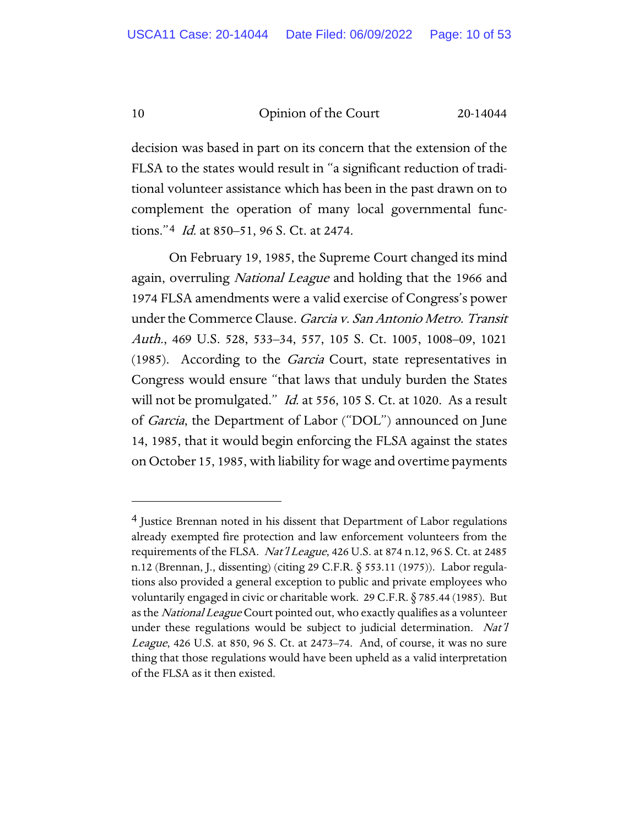decision was based in part on its concern that the extension of the FLSA to the states would result in "a significant reduction of traditional volunteer assistance which has been in the past drawn on to complement the operation of many local governmental functions."[4](#page-9-0) Id. at 850–51, 96 S. Ct. at 2474.

On February 19, 1985, the Supreme Court changed its mind again, overruling *National League* and holding that the 1966 and 1974 FLSA amendments were a valid exercise of Congress's power under the Commerce Clause. Garcia v. San Antonio Metro. Transit Auth., 469 U.S. 528, 533–34, 557, 105 S. Ct. 1005, 1008–09, 1021 (1985). According to the Garcia Court, state representatives in Congress would ensure "that laws that unduly burden the States will not be promulgated." *Id.* at 556, 105 S. Ct. at 1020. As a result of Garcia, the Department of Labor ("DOL") announced on June 14, 1985, that it would begin enforcing the FLSA against the states on October 15, 1985, with liability for wage and overtime payments

<span id="page-9-0"></span><sup>4</sup> Justice Brennan noted in his dissent that Department of Labor regulations already exempted fire protection and law enforcement volunteers from the requirements of the FLSA. Nat'l League, 426 U.S. at 874 n.12, 96 S. Ct. at 2485 n.12 (Brennan, J., dissenting) (citing 29 C.F.R. § 553.11 (1975)). Labor regulations also provided a general exception to public and private employees who voluntarily engaged in civic or charitable work. 29 C.F.R. § 785.44 (1985). But as the National League Court pointed out, who exactly qualifies as a volunteer under these regulations would be subject to judicial determination. Nat'l League, 426 U.S. at 850, 96 S. Ct. at 2473–74. And, of course, it was no sure thing that those regulations would have been upheld as a valid interpretation of the FLSA as it then existed.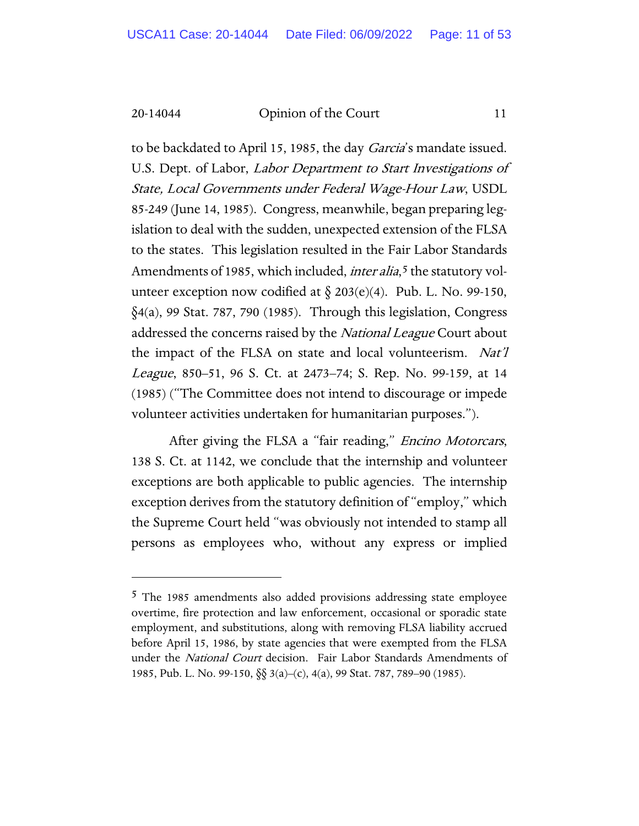to be backdated to April 15, 1985, the day *Garcia's* mandate issued. U.S. Dept. of Labor, Labor Department to Start Investigations of State, Local Governments under Federal Wage-Hour Law, USDL 85-249 (June 14, 1985). Congress, meanwhile, began preparing legislation to deal with the sudden, unexpected extension of the FLSA to the states. This legislation resulted in the Fair Labor Standards Amendments of 198[5](#page-10-0), which included, *inter alia*,<sup>5</sup> the statutory volunteer exception now codified at  $\S 203(e)(4)$ . Pub. L. No. 99-150, §4(a), 99 Stat. 787, 790 (1985). Through this legislation, Congress addressed the concerns raised by the *National League* Court about the impact of the FLSA on state and local volunteerism. Nat'l League, 850–51, 96 S. Ct. at 2473–74; S. Rep. No. 99-159, at 14 (1985) ("The Committee does not intend to discourage or impede volunteer activities undertaken for humanitarian purposes.").

After giving the FLSA a "fair reading," *Encino Motorcars*, 138 S. Ct. at 1142, we conclude that the internship and volunteer exceptions are both applicable to public agencies. The internship exception derives from the statutory definition of "employ," which the Supreme Court held "was obviously not intended to stamp all persons as employees who, without any express or implied

<span id="page-10-0"></span><sup>5</sup> The 1985 amendments also added provisions addressing state employee overtime, fire protection and law enforcement, occasional or sporadic state employment, and substitutions, along with removing FLSA liability accrued before April 15, 1986, by state agencies that were exempted from the FLSA under the National Court decision. Fair Labor Standards Amendments of 1985, Pub. L. No. 99-150, §§ 3(a)–(c), 4(a), 99 Stat. 787, 789–90 (1985).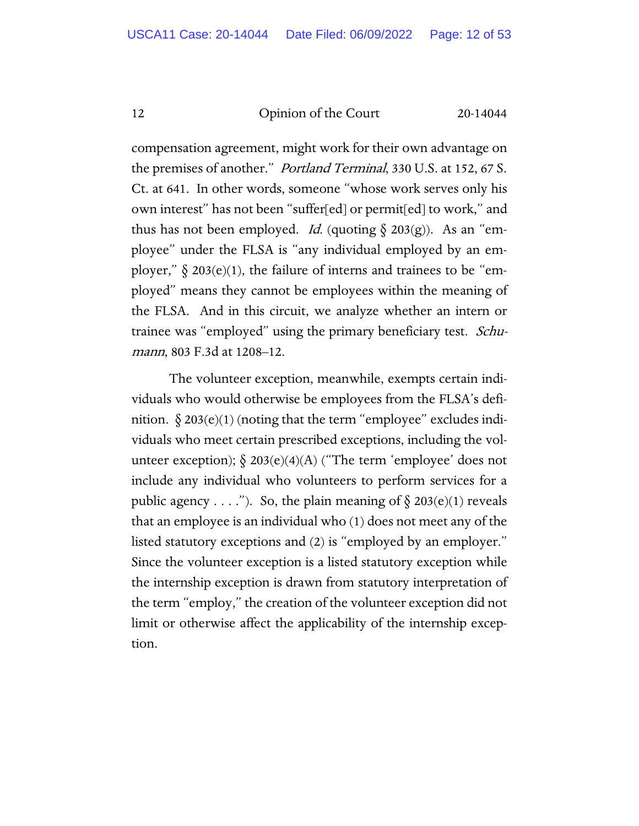compensation agreement, might work for their own advantage on the premises of another." *Portland Terminal*, 330 U.S. at 152, 67 S. Ct. at 641. In other words, someone "whose work serves only his own interest" has not been "suffer[ed] or permit[ed] to work," and thus has not been employed. *Id.* (quoting  $\delta$  203(g)). As an "employee" under the FLSA is "any individual employed by an employer,"  $\delta$  203(e)(1), the failure of interns and trainees to be "employed" means they cannot be employees within the meaning of the FLSA. And in this circuit, we analyze whether an intern or trainee was "employed" using the primary beneficiary test. Schumann, 803 F.3d at 1208-12.

The volunteer exception, meanwhile, exempts certain individuals who would otherwise be employees from the FLSA's definition.  $\S 203(e)(1)$  (noting that the term "employee" excludes individuals who meet certain prescribed exceptions, including the volunteer exception);  $\S$  203(e)(4)(A) ("The term 'employee' does not include any individual who volunteers to perform services for a public agency  $\dots$ "). So, the plain meaning of  $\S 203(e)(1)$  reveals that an employee is an individual who (1) does not meet any of the listed statutory exceptions and (2) is "employed by an employer." Since the volunteer exception is a listed statutory exception while the internship exception is drawn from statutory interpretation of the term "employ," the creation of the volunteer exception did not limit or otherwise affect the applicability of the internship exception.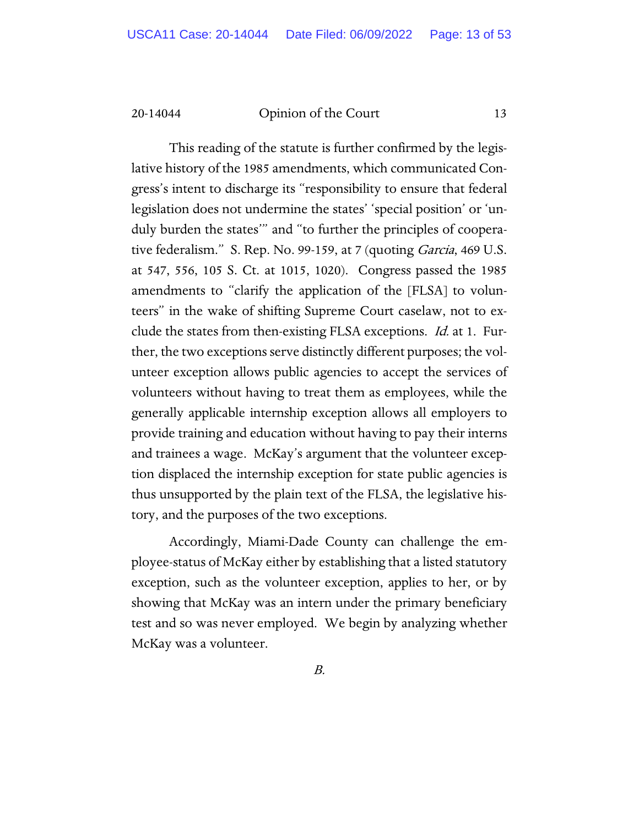This reading of the statute is further confirmed by the legislative history of the 1985 amendments, which communicated Congress's intent to discharge its "responsibility to ensure that federal legislation does not undermine the states' 'special position' or 'unduly burden the states'" and "to further the principles of cooperative federalism." S. Rep. No. 99-159, at 7 (quoting *Garcia*, 469 U.S. at 547, 556, 105 S. Ct. at 1015, 1020). Congress passed the 1985 amendments to "clarify the application of the [FLSA] to volunteers" in the wake of shifting Supreme Court caselaw, not to exclude the states from then-existing FLSA exceptions. Id. at 1. Further, the two exceptions serve distinctly different purposes; the volunteer exception allows public agencies to accept the services of volunteers without having to treat them as employees, while the generally applicable internship exception allows all employers to provide training and education without having to pay their interns and trainees a wage. McKay's argument that the volunteer exception displaced the internship exception for state public agencies is thus unsupported by the plain text of the FLSA, the legislative history, and the purposes of the two exceptions.

Accordingly, Miami-Dade County can challenge the employee-status of McKay either by establishing that a listed statutory exception, such as the volunteer exception, applies to her, or by showing that McKay was an intern under the primary beneficiary test and so was never employed. We begin by analyzing whether McKay was a volunteer.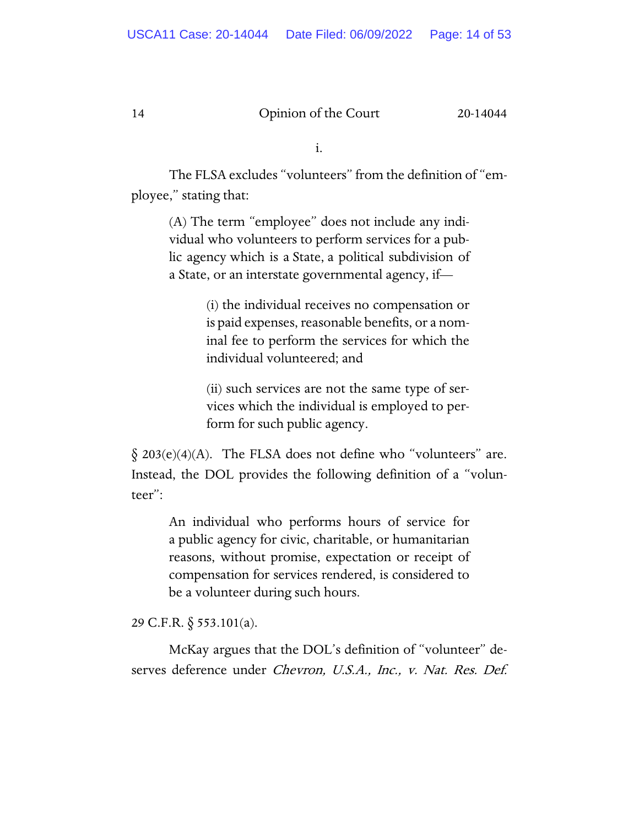i.

The FLSA excludes "volunteers" from the definition of "employee," stating that:

> (A) The term "employee" does not include any individual who volunteers to perform services for a public agency which is a State, a political subdivision of a State, or an interstate governmental agency, if—

> > (i) the individual receives no compensation or is paid expenses, reasonable benefits, or a nominal fee to perform the services for which the individual volunteered; and

> > (ii) such services are not the same type of services which the individual is employed to perform for such public agency.

 $\S$  203(e)(4)(A). The FLSA does not define who "volunteers" are. Instead, the DOL provides the following definition of a "volunteer":

An individual who performs hours of service for a public agency for civic, charitable, or humanitarian reasons, without promise, expectation or receipt of compensation for services rendered, is considered to be a volunteer during such hours.

29 C.F.R. § 553.101(a).

McKay argues that the DOL's definition of "volunteer" deserves deference under Chevron, U.S.A., Inc., v. Nat. Res. Def.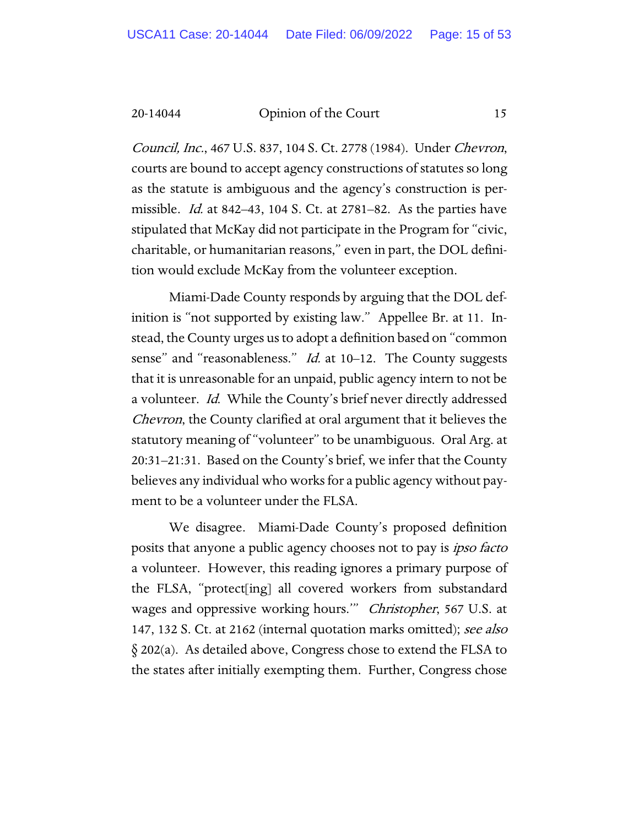Council, Inc., 467 U.S. 837, 104 S. Ct. 2778 (1984). Under Chevron, courts are bound to accept agency constructions of statutes so long as the statute is ambiguous and the agency's construction is permissible. Id. at 842–43, 104 S. Ct. at 2781–82. As the parties have stipulated that McKay did not participate in the Program for "civic, charitable, or humanitarian reasons," even in part, the DOL definition would exclude McKay from the volunteer exception.

Miami-Dade County responds by arguing that the DOL definition is "not supported by existing law." Appellee Br. at 11. Instead, the County urges us to adopt a definition based on "common sense" and "reasonableness." *Id.* at 10–12. The County suggests that it is unreasonable for an unpaid, public agency intern to not be a volunteer. *Id.* While the County's brief never directly addressed Chevron, the County clarified at oral argument that it believes the statutory meaning of "volunteer" to be unambiguous. Oral Arg. at 20:31–21:31. Based on the County's brief, we infer that the County believes any individual who works for a public agency without payment to be a volunteer under the FLSA.

We disagree. Miami-Dade County's proposed definition posits that anyone a public agency chooses not to pay is *ipso facto* a volunteer. However, this reading ignores a primary purpose of the FLSA, "protect[ing] all covered workers from substandard wages and oppressive working hours." Christopher, 567 U.S. at 147, 132 S. Ct. at 2162 (internal quotation marks omitted); see also § 202(a). As detailed above, Congress chose to extend the FLSA to the states after initially exempting them. Further, Congress chose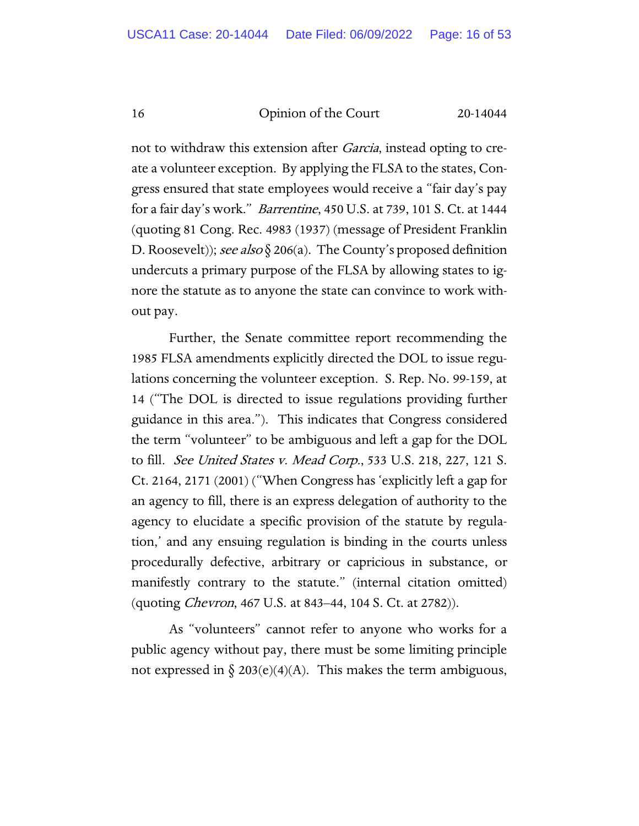not to withdraw this extension after *Garcia*, instead opting to create a volunteer exception. By applying the FLSA to the states, Congress ensured that state employees would receive a "fair day's pay for a fair day's work." Barrentine, 450 U.S. at 739, 101 S. Ct. at 1444 (quoting 81 Cong. Rec. 4983 (1937) (message of President Franklin D. Roosevelt)); see also § 206(a). The County's proposed definition undercuts a primary purpose of the FLSA by allowing states to ignore the statute as to anyone the state can convince to work without pay.

Further, the Senate committee report recommending the 1985 FLSA amendments explicitly directed the DOL to issue regulations concerning the volunteer exception. S. Rep. No. 99-159, at 14 ("The DOL is directed to issue regulations providing further guidance in this area."). This indicates that Congress considered the term "volunteer" to be ambiguous and left a gap for the DOL to fill. See United States v. Mead Corp., 533 U.S. 218, 227, 121 S. Ct. 2164, 2171 (2001) ("When Congress has 'explicitly left a gap for an agency to fill, there is an express delegation of authority to the agency to elucidate a specific provision of the statute by regulation,' and any ensuing regulation is binding in the courts unless procedurally defective, arbitrary or capricious in substance, or manifestly contrary to the statute." (internal citation omitted) (quoting Chevron, 467 U.S. at 843–44, 104 S. Ct. at 2782)).

As "volunteers" cannot refer to anyone who works for a public agency without pay, there must be some limiting principle not expressed in  $\S 203(e)(4)(A)$ . This makes the term ambiguous,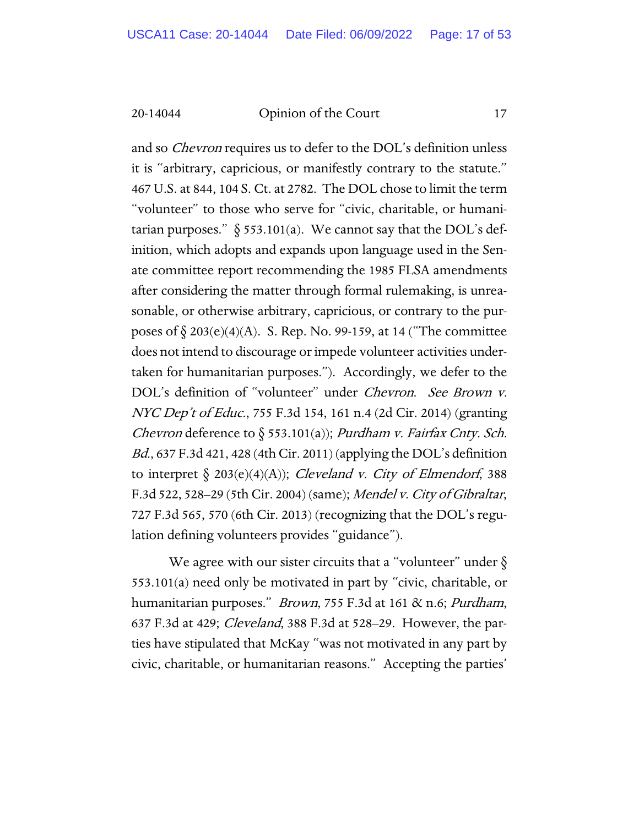and so *Chevron* requires us to defer to the DOL's definition unless it is "arbitrary, capricious, or manifestly contrary to the statute." 467 U.S. at 844, 104 S. Ct. at 2782. The DOL chose to limit the term "volunteer" to those who serve for "civic, charitable, or humanitarian purposes."  $\delta$  553.101(a). We cannot say that the DOL's definition, which adopts and expands upon language used in the Senate committee report recommending the 1985 FLSA amendments after considering the matter through formal rulemaking, is unreasonable, or otherwise arbitrary, capricious, or contrary to the purposes of  $\S 203(e)(4)(A)$ . S. Rep. No. 99-159, at 14 ("The committee does not intend to discourage or impede volunteer activities undertaken for humanitarian purposes."). Accordingly, we defer to the DOL's definition of "volunteer" under Chevron. See Brown v. NYC Dep't of Educ., 755 F.3d 154, 161 n.4 (2d Cir. 2014) (granting Chevron deference to § 553.101(a)); Purdham v. Fairfax Cnty. Sch. Bd., 637 F.3d 421, 428 (4th Cir. 2011) (applying the DOL's definition to interpret  $\S$  203(e)(4)(A)); *Cleveland v. City of Elmendorf*, 388 F.3d 522, 528–29 (5th Cir. 2004) (same); Mendel v. City of Gibraltar, 727 F.3d 565, 570 (6th Cir. 2013) (recognizing that the DOL's regulation defining volunteers provides "guidance").

We agree with our sister circuits that a "volunteer" under  $\delta$ 553.101(a) need only be motivated in part by "civic, charitable, or humanitarian purposes." *Brown*, 755 F.3d at 161 & n.6; *Purdham*, 637 F.3d at 429; Cleveland, 388 F.3d at 528–29. However, the parties have stipulated that McKay "was not motivated in any part by civic, charitable, or humanitarian reasons." Accepting the parties'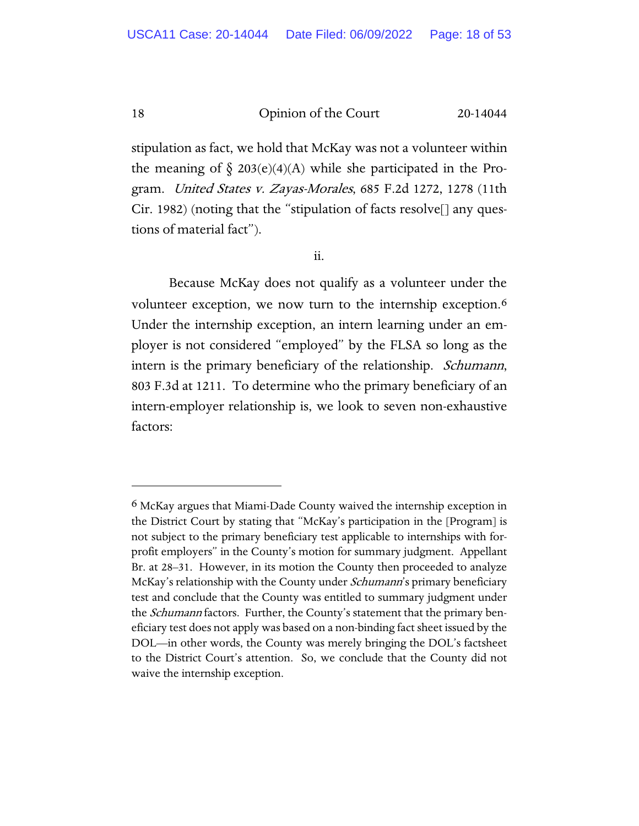stipulation as fact, we hold that McKay was not a volunteer within the meaning of  $\S$  203(e)(4)(A) while she participated in the Program. United States v. Zayas-Morales, 685 F.2d 1272, 1278 (11th Cir. 1982) (noting that the "stipulation of facts resolve[] any questions of material fact").

ii.

Because McKay does not qualify as a volunteer under the volunteer exception, we now turn to the internship exception.<sup>[6](#page-17-0)</sup> Under the internship exception, an intern learning under an employer is not considered "employed" by the FLSA so long as the intern is the primary beneficiary of the relationship. Schumann, 803 F.3d at 1211. To determine who the primary beneficiary of an intern-employer relationship is, we look to seven non-exhaustive factors:

<span id="page-17-0"></span><sup>6</sup> McKay argues that Miami-Dade County waived the internship exception in the District Court by stating that "McKay's participation in the [Program] is not subject to the primary beneficiary test applicable to internships with forprofit employers" in the County's motion for summary judgment. Appellant Br. at 28–31. However, in its motion the County then proceeded to analyze McKay's relationship with the County under *Schumann*'s primary beneficiary test and conclude that the County was entitled to summary judgment under the Schumann factors. Further, the County's statement that the primary beneficiary test does not apply was based on a non-binding fact sheet issued by the DOL—in other words, the County was merely bringing the DOL's factsheet to the District Court's attention. So, we conclude that the County did not waive the internship exception.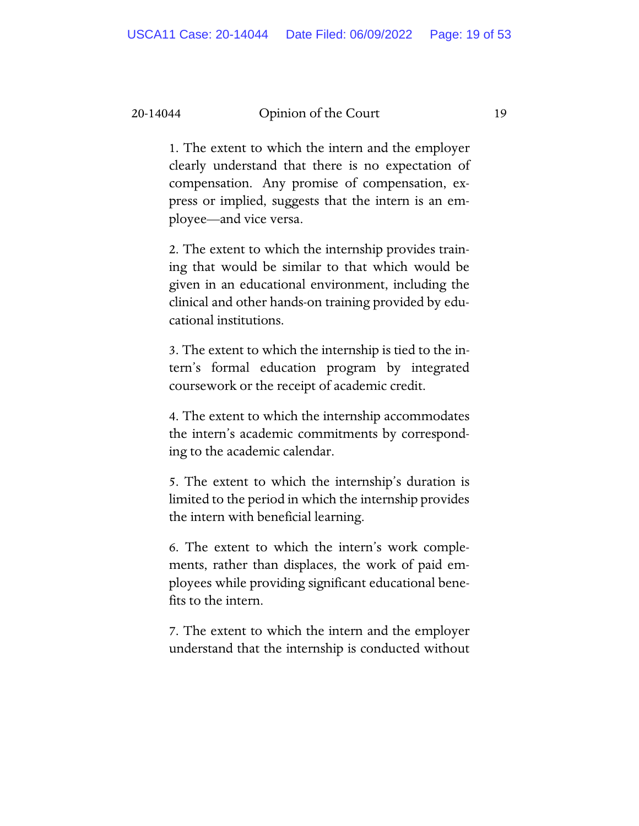1. The extent to which the intern and the employer clearly understand that there is no expectation of compensation. Any promise of compensation, express or implied, suggests that the intern is an employee—and vice versa.

2. The extent to which the internship provides training that would be similar to that which would be given in an educational environment, including the clinical and other hands-on training provided by educational institutions.

3. The extent to which the internship is tied to the intern's formal education program by integrated coursework or the receipt of academic credit.

4. The extent to which the internship accommodates the intern's academic commitments by corresponding to the academic calendar.

5. The extent to which the internship's duration is limited to the period in which the internship provides the intern with beneficial learning.

6. The extent to which the intern's work complements, rather than displaces, the work of paid employees while providing significant educational benefits to the intern.

7. The extent to which the intern and the employer understand that the internship is conducted without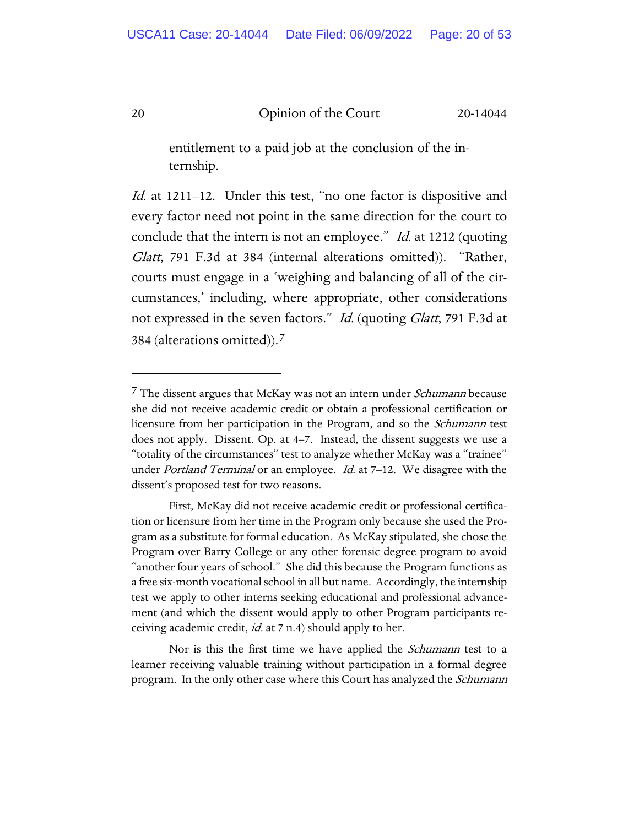entitlement to a paid job at the conclusion of the internship.

Id. at 1211–12. Under this test, "no one factor is dispositive and every factor need not point in the same direction for the court to conclude that the intern is not an employee." *Id.* at 1212 (quoting Glatt, 791 F.3d at 384 (internal alterations omitted)). "Rather, courts must engage in a 'weighing and balancing of all of the circumstances,' including, where appropriate, other considerations not expressed in the seven factors." Id. (quoting Glatt, 791 F.3d at 384 (alterations omitted)).[7](#page-19-0)

<span id="page-19-1"></span><span id="page-19-0"></span><sup>&</sup>lt;sup>7</sup> The dissent argues that McKay was not an intern under *Schumann* because she did not receive academic credit or obtain a professional certification or licensure from her participation in the Program, and so the *Schumann* test does not apply. Dissent. Op. at 4–7. Instead, the dissent suggests we use a "totality of the circumstances" test to analyze whether McKay was a "trainee" under Portland Terminal or an employee. Id. at 7-12. We disagree with the dissent's proposed test for two reasons.

First, McKay did not receive academic credit or professional certification or licensure from her time in the Program only because she used the Program as a substitute for formal education. As McKay stipulated, she chose the Program over Barry College or any other forensic degree program to avoid "another four years of school." She did this because the Program functions as a free six-month vocational school in all but name. Accordingly, the internship test we apply to other interns seeking educational and professional advancement (and which the dissent would apply to other Program participants receiving academic credit, *id.* at 7 n.4) should apply to her.

Nor is this the first time we have applied the *Schumann* test to a learner receiving valuable training without participation in a formal degree program. In the only other case where this Court has analyzed the *Schumann*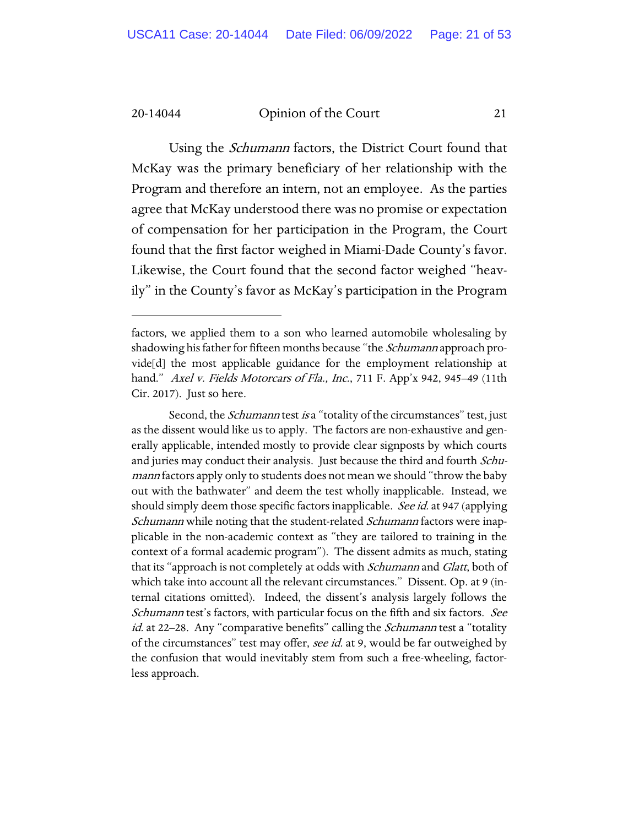Using the Schumann factors, the District Court found that McKay was the primary beneficiary of her relationship with the Program and therefore an intern, not an employee. As the parties agree that McKay understood there was no promise or expectation of compensation for her participation in the Program, the Court found that the first factor weighed in Miami-Dade County's favor. Likewise, the Court found that the second factor weighed "heavily" in the County's favor as McKay's participation in the Program

Second, the *Schumann* test is a "totality of the circumstances" test, just as the dissent would like us to apply. The factors are non-exhaustive and generally applicable, intended mostly to provide clear signposts by which courts and juries may conduct their analysis. Just because the third and fourth *Schu*mann factors apply only to students does not mean we should "throw the baby out with the bathwater" and deem the test wholly inapplicable. Instead, we should simply deem those specific factors inapplicable. See id. at 947 (applying Schumann while noting that the student-related Schumann factors were inapplicable in the non-academic context as "they are tailored to training in the context of a formal academic program"). The dissent admits as much, stating that its "approach is not completely at odds with *Schumann* and *Glatt*, both of which take into account all the relevant circumstances." Dissent. Op. at 9 (internal citations omitted). Indeed, the dissent's analysis largely follows the Schumann test's factors, with particular focus on the fifth and six factors. See id. at 22–28. Any "comparative benefits" calling the *Schumann* test a "totality of the circumstances" test may offer, see id. at 9, would be far outweighed by the confusion that would inevitably stem from such a free-wheeling, factorless approach.

factors, we applied them to a son who learned automobile wholesaling by shadowing his father for fifteen months because "the *Schumann* approach provide[d] the most applicable guidance for the employment relationship at hand." Axel v. Fields Motorcars of Fla., Inc., 711 F. App'x 942, 945–49 (11th Cir. 2017). Just so here.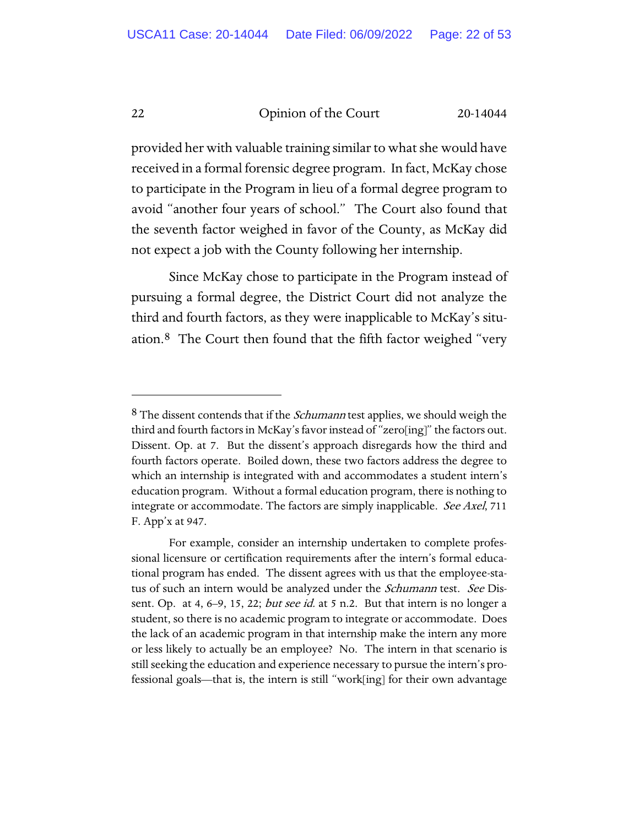provided her with valuable training similar to what she would have received in a formal forensic degree program. In fact, McKay chose to participate in the Program in lieu of a formal degree program to avoid "another four years of school." The Court also found that the seventh factor weighed in favor of the County, as McKay did not expect a job with the County following her internship.

Since McKay chose to participate in the Program instead of pursuing a formal degree, the District Court did not analyze the third and fourth factors, as they were inapplicable to McKay's situation.[8](#page-21-0) The Court then found that the fifth factor weighed "very

<span id="page-21-0"></span> $8$  The dissent contends that if the *Schumann* test applies, we should weigh the third and fourth factors in McKay's favor instead of "zero[ing]" the factors out. Dissent. Op. at 7. But the dissent's approach disregards how the third and fourth factors operate. Boiled down, these two factors address the degree to which an internship is integrated with and accommodates a student intern's education program. Without a formal education program, there is nothing to integrate or accommodate. The factors are simply inapplicable. See Axel, 711 F. App'x at 947.

For example, consider an internship undertaken to complete professional licensure or certification requirements after the intern's formal educational program has ended. The dissent agrees with us that the employee-status of such an intern would be analyzed under the *Schumann* test. See Dissent. Op. at 4,  $6-9$ , 15, 22; *but see id.* at 5 n.2. But that intern is no longer a student, so there is no academic program to integrate or accommodate. Does the lack of an academic program in that internship make the intern any more or less likely to actually be an employee? No. The intern in that scenario is still seeking the education and experience necessary to pursue the intern's professional goals—that is, the intern is still "work[ing] for their own advantage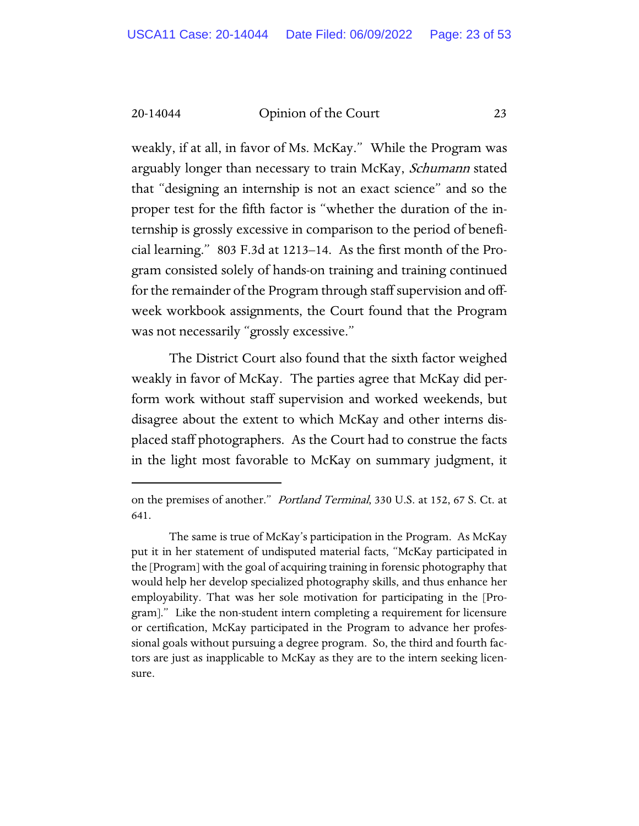weakly, if at all, in favor of Ms. McKay." While the Program was arguably longer than necessary to train McKay, Schumann stated that "designing an internship is not an exact science" and so the proper test for the fifth factor is "whether the duration of the internship is grossly excessive in comparison to the period of beneficial learning." 803 F.3d at 1213–14. As the first month of the Program consisted solely of hands-on training and training continued for the remainder of the Program through staff supervision and offweek workbook assignments, the Court found that the Program was not necessarily "grossly excessive."

The District Court also found that the sixth factor weighed weakly in favor of McKay. The parties agree that McKay did perform work without staff supervision and worked weekends, but disagree about the extent to which McKay and other interns displaced staff photographers. As the Court had to construe the facts in the light most favorable to McKay on summary judgment, it

on the premises of another." Portland Terminal, 330 U.S. at 152, 67 S. Ct. at 641.

The same is true of McKay's participation in the Program. As McKay put it in her statement of undisputed material facts, "McKay participated in the [Program] with the goal of acquiring training in forensic photography that would help her develop specialized photography skills, and thus enhance her employability. That was her sole motivation for participating in the [Program]." Like the non-student intern completing a requirement for licensure or certification, McKay participated in the Program to advance her professional goals without pursuing a degree program. So, the third and fourth factors are just as inapplicable to McKay as they are to the intern seeking licensure.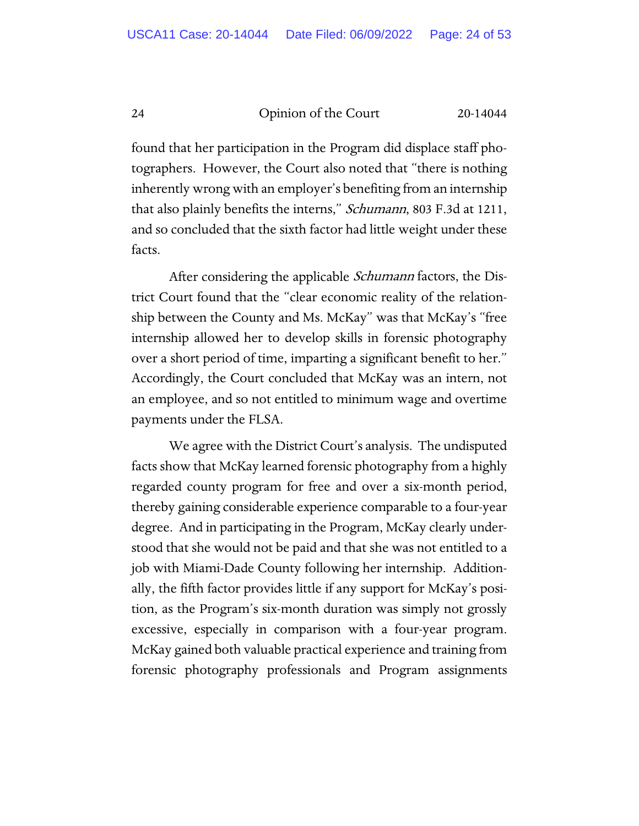found that her participation in the Program did displace staff photographers. However, the Court also noted that "there is nothing inherently wrong with an employer's benefiting from an internship that also plainly benefits the interns," *Schumann*, 803 F.3d at 1211, and so concluded that the sixth factor had little weight under these facts.

After considering the applicable *Schumann* factors, the District Court found that the "clear economic reality of the relationship between the County and Ms. McKay" was that McKay's "free internship allowed her to develop skills in forensic photography over a short period of time, imparting a significant benefit to her." Accordingly, the Court concluded that McKay was an intern, not an employee, and so not entitled to minimum wage and overtime payments under the FLSA.

We agree with the District Court's analysis. The undisputed facts show that McKay learned forensic photography from a highly regarded county program for free and over a six-month period, thereby gaining considerable experience comparable to a four-year degree. And in participating in the Program, McKay clearly understood that she would not be paid and that she was not entitled to a job with Miami-Dade County following her internship. Additionally, the fifth factor provides little if any support for McKay's position, as the Program's six-month duration was simply not grossly excessive, especially in comparison with a four-year program. McKay gained both valuable practical experience and training from forensic photography professionals and Program assignments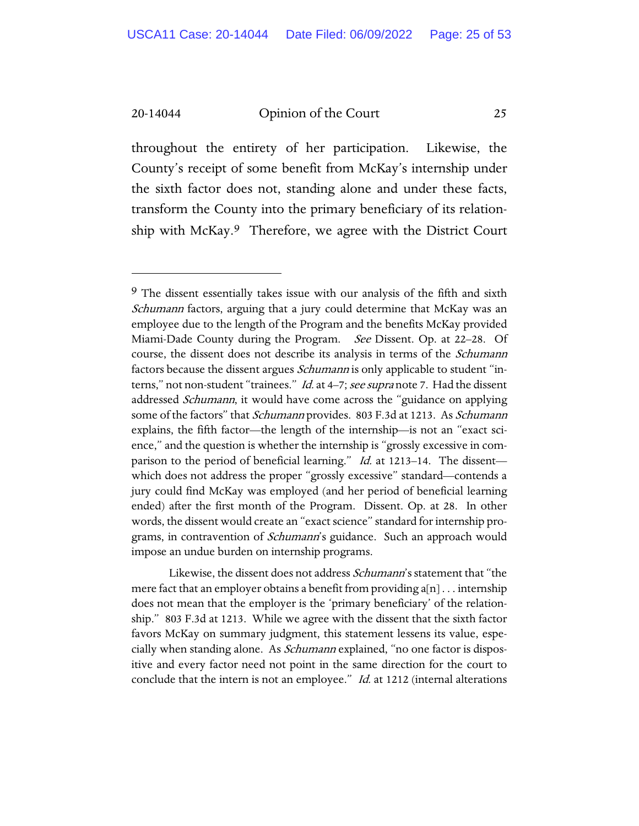throughout the entirety of her participation. Likewise, the County's receipt of some benefit from McKay's internship under the sixth factor does not, standing alone and under these facts, transform the County into the primary beneficiary of its relationship with McKay.[9](#page-24-0) Therefore, we agree with the District Court

Likewise, the dissent does not address Schumann's statement that "the mere fact that an employer obtains a benefit from providing a[n] . . . internship does not mean that the employer is the 'primary beneficiary' of the relationship." 803 F.3d at 1213. While we agree with the dissent that the sixth factor favors McKay on summary judgment, this statement lessens its value, especially when standing alone. As *Schumann* explained, "no one factor is dispositive and every factor need not point in the same direction for the court to conclude that the intern is not an employee." *Id.* at 1212 (internal alterations

<span id="page-24-0"></span><sup>&</sup>lt;sup>9</sup> The dissent essentially takes issue with our analysis of the fifth and sixth Schumann factors, arguing that a jury could determine that McKay was an employee due to the length of the Program and the benefits McKay provided Miami-Dade County during the Program. *See* Dissent. Op. at 22–28. Of course, the dissent does not describe its analysis in terms of the *Schumann* factors because the dissent argues *Schumann* is only applicable to student "interns," not non-student "trainees." Id. at 4-7; see supra not[e 7.](#page-19-1) Had the dissent addressed Schumann, it would have come across the "guidance on applying some of the factors" that Schumann provides. 803 F.3d at 1213. As Schumann explains, the fifth factor—the length of the internship—is not an "exact science," and the question is whether the internship is "grossly excessive in comparison to the period of beneficial learning." *Id.* at 1213–14. The dissent which does not address the proper "grossly excessive" standard—contends a jury could find McKay was employed (and her period of beneficial learning ended) after the first month of the Program. Dissent. Op. at 28. In other words, the dissent would create an "exact science" standard for internship programs, in contravention of *Schumann*'s guidance. Such an approach would impose an undue burden on internship programs.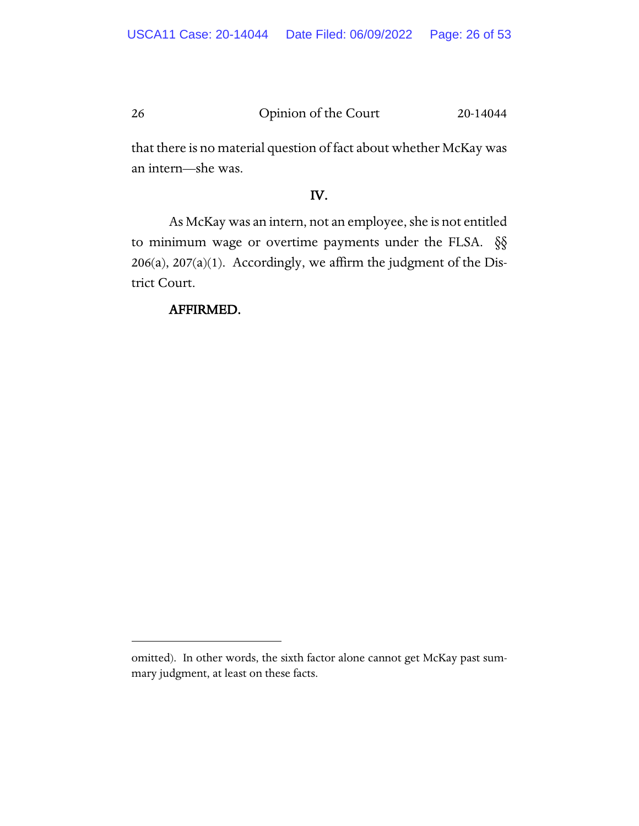that there is no material question of fact about whether McKay was an intern—she was.

## IV.

As McKay was an intern, not an employee, she is not entitled to minimum wage or overtime payments under the FLSA. §§  $206(a)$ ,  $207(a)(1)$ . Accordingly, we affirm the judgment of the District Court.

## AFFIRMED.

omitted). In other words, the sixth factor alone cannot get McKay past summary judgment, at least on these facts.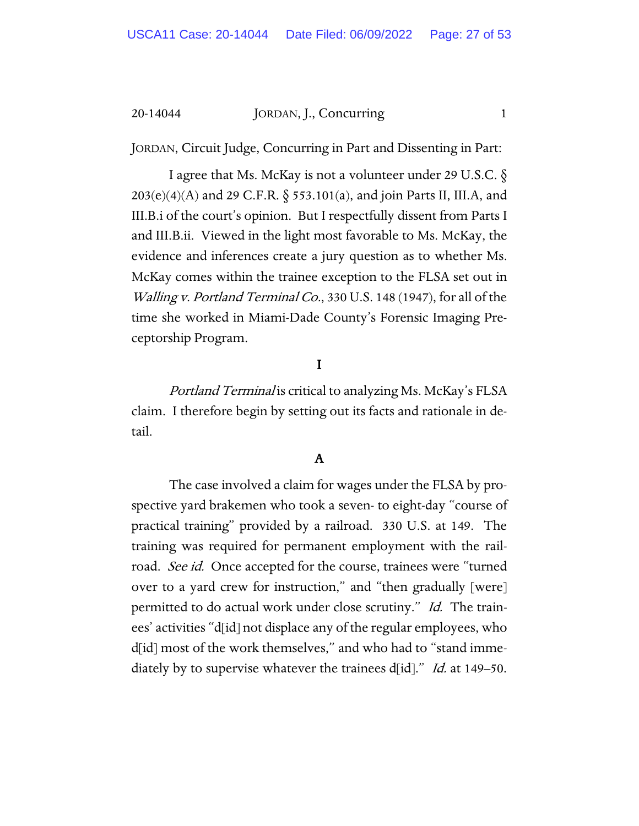JORDAN, Circuit Judge, Concurring in Part and Dissenting in Part:

I agree that Ms. McKay is not a volunteer under 29 U.S.C. §  $203(e)(4)(A)$  and 29 C.F.R. § 553.101(a), and join Parts II, III.A, and III.B.i of the court's opinion. But I respectfully dissent from Parts I and III.B.ii. Viewed in the light most favorable to Ms. McKay, the evidence and inferences create a jury question as to whether Ms. McKay comes within the trainee exception to the FLSA set out in Walling v. Portland Terminal Co., 330 U.S. 148 (1947), for all of the time she worked in Miami-Dade County's Forensic Imaging Preceptorship Program.

## I

Portland Terminal is critical to analyzing Ms. McKay's FLSA claim. I therefore begin by setting out its facts and rationale in detail.

## A

The case involved a claim for wages under the FLSA by prospective yard brakemen who took a seven- to eight-day "course of practical training" provided by a railroad. 330 U.S. at 149. The training was required for permanent employment with the railroad. See id. Once accepted for the course, trainees were "turned over to a yard crew for instruction," and "then gradually [were] permitted to do actual work under close scrutiny." Id. The trainees' activities "d[id] not displace any of the regular employees, who d[id] most of the work themselves," and who had to "stand immediately by to supervise whatever the trainees d[id]." *Id.* at 149–50.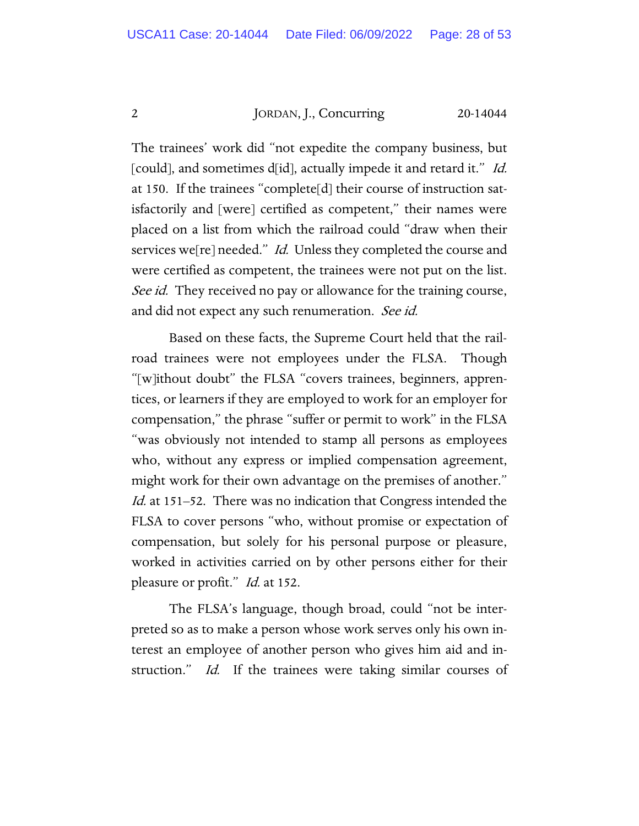The trainees' work did "not expedite the company business, but [could], and sometimes d[id], actually impede it and retard it." Id. at 150. If the trainees "complete[d] their course of instruction satisfactorily and [were] certified as competent," their names were placed on a list from which the railroad could "draw when their services we[re] needed." *Id.* Unless they completed the course and were certified as competent, the trainees were not put on the list. See id. They received no pay or allowance for the training course, and did not expect any such renumeration. See id.

Based on these facts, the Supreme Court held that the railroad trainees were not employees under the FLSA. Though "[w]ithout doubt" the FLSA "covers trainees, beginners, apprentices, or learners if they are employed to work for an employer for compensation," the phrase "suffer or permit to work" in the FLSA "was obviously not intended to stamp all persons as employees who, without any express or implied compensation agreement, might work for their own advantage on the premises of another." Id. at 151–52. There was no indication that Congress intended the FLSA to cover persons "who, without promise or expectation of compensation, but solely for his personal purpose or pleasure, worked in activities carried on by other persons either for their pleasure or profit." *Id.* at 152.

The FLSA's language, though broad, could "not be interpreted so as to make a person whose work serves only his own interest an employee of another person who gives him aid and instruction." *Id.* If the trainees were taking similar courses of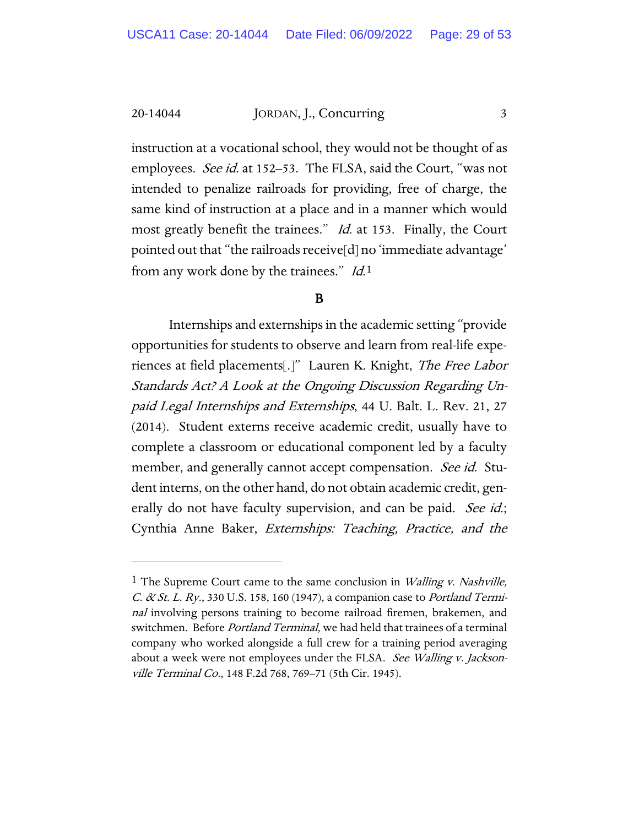instruction at a vocational school, they would not be thought of as employees. *See id.* at 152–53. The FLSA, said the Court, "was not intended to penalize railroads for providing, free of charge, the same kind of instruction at a place and in a manner which would most greatly benefit the trainees." *Id.* at 153. Finally, the Court pointed out that "the railroads receive[d] no 'immediate advantage' from any work done by the trainees." Id.[1](#page-28-0)

## B

Internships and externships in the academic setting "provide opportunities for students to observe and learn from real-life experiences at field placements[.]" Lauren K. Knight, The Free Labor Standards Act? A Look at the Ongoing Discussion Regarding Unpaid Legal Internships and Externships, 44 U. Balt. L. Rev. 21, 27 (2014). Student externs receive academic credit, usually have to complete a classroom or educational component led by a faculty member, and generally cannot accept compensation. See id. Student interns, on the other hand, do not obtain academic credit, generally do not have faculty supervision, and can be paid. See id.; Cynthia Anne Baker, Externships: Teaching, Practice, and the

<span id="page-28-0"></span><sup>&</sup>lt;sup>1</sup> The Supreme Court came to the same conclusion in *Walling v. Nashville*, C. & St. L. Ry., 330 U.S. 158, 160 (1947), a companion case to Portland Terminal involving persons training to become railroad firemen, brakemen, and switchmen. Before *Portland Terminal*, we had held that trainees of a terminal company who worked alongside a full crew for a training period averaging about a week were not employees under the FLSA. See Walling v. Jacksonville Terminal Co., 148 F.2d 768, 769–71 (5th Cir. 1945).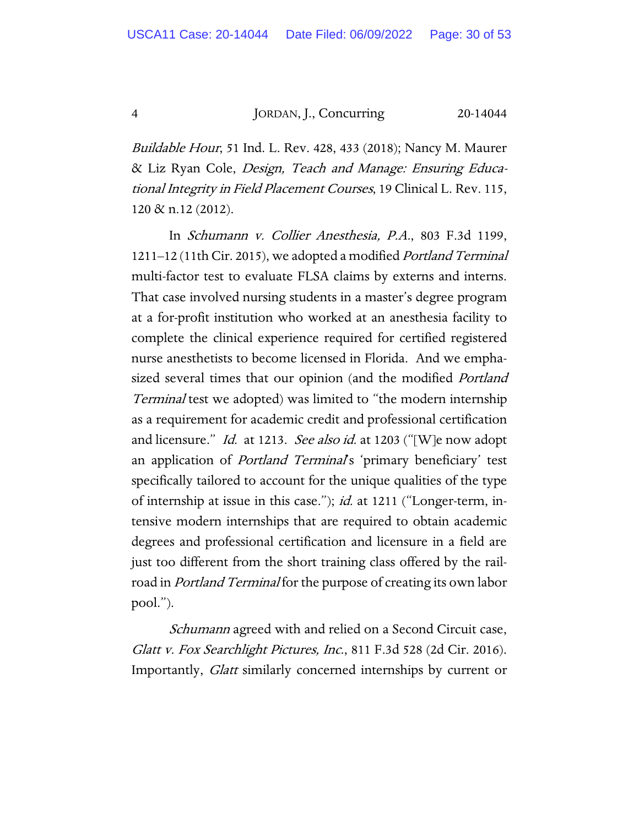Buildable Hour, 51 Ind. L. Rev. 428, 433 (2018); Nancy M. Maurer & Liz Ryan Cole, Design, Teach and Manage: Ensuring Educational Integrity in Field Placement Courses, 19 Clinical L. Rev. 115, 120 & n.12 (2012).

In Schumann v. Collier Anesthesia, P.A., 803 F.3d 1199, 1211–12 (11th Cir. 2015), we adopted a modified Portland Terminal multi-factor test to evaluate FLSA claims by externs and interns. That case involved nursing students in a master's degree program at a for-profit institution who worked at an anesthesia facility to complete the clinical experience required for certified registered nurse anesthetists to become licensed in Florida. And we emphasized several times that our opinion (and the modified *Portland* Terminal test we adopted) was limited to "the modern internship as a requirement for academic credit and professional certification and licensure." *Id.* at 1213. See also id. at 1203 ("[W]e now adopt an application of *Portland Terminal's* 'primary beneficiary' test specifically tailored to account for the unique qualities of the type of internship at issue in this case."); *id.* at 1211 ("Longer-term, intensive modern internships that are required to obtain academic degrees and professional certification and licensure in a field are just too different from the short training class offered by the railroad in *Portland Terminal* for the purpose of creating its own labor pool.").

Schumann agreed with and relied on a Second Circuit case, Glatt v. Fox Searchlight Pictures, Inc., 811 F.3d 528 (2d Cir. 2016). Importantly, Glatt similarly concerned internships by current or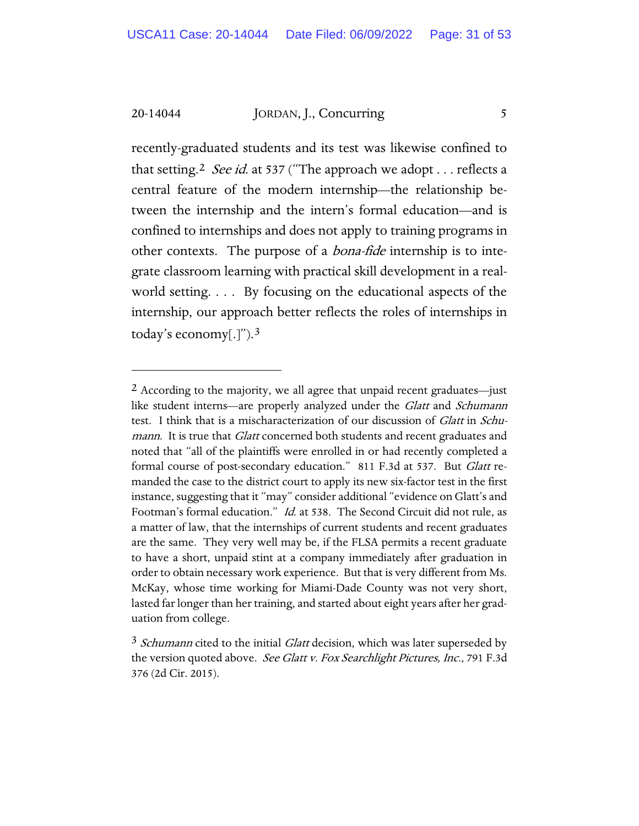recently-graduated students and its test was likewise confined to that setting.<sup>[2](#page-30-0)</sup> See id. at 537 ("The approach we adopt . . . reflects a central feature of the modern internship—the relationship between the internship and the intern's formal education—and is confined to internships and does not apply to training programs in other contexts. The purpose of a bona-fide internship is to integrate classroom learning with practical skill development in a realworld setting. . . . By focusing on the educational aspects of the internship, our approach better reflects the roles of internships in today's economy[.]").[3](#page-30-1)

<span id="page-30-0"></span><sup>2</sup> According to the majority, we all agree that unpaid recent graduates—just like student interns—are properly analyzed under the Glatt and Schumann test. I think that is a mischaracterization of our discussion of Glatt in Schumann. It is true that *Glatt* concerned both students and recent graduates and noted that "all of the plaintiffs were enrolled in or had recently completed a formal course of post-secondary education." 811 F.3d at 537. But Glatt remanded the case to the district court to apply its new six-factor test in the first instance, suggesting that it "may" consider additional "evidence on Glatt's and Footman's formal education." Id. at 538. The Second Circuit did not rule, as a matter of law, that the internships of current students and recent graduates are the same. They very well may be, if the FLSA permits a recent graduate to have a short, unpaid stint at a company immediately after graduation in order to obtain necessary work experience. But that is very different from Ms. McKay, whose time working for Miami-Dade County was not very short, lasted far longer than her training, and started about eight years after her graduation from college.

<span id="page-30-1"></span> $3$  Schumann cited to the initial Glatt decision, which was later superseded by the version quoted above. See Glatt v. Fox Searchlight Pictures, Inc., 791 F.3d 376 (2d Cir. 2015).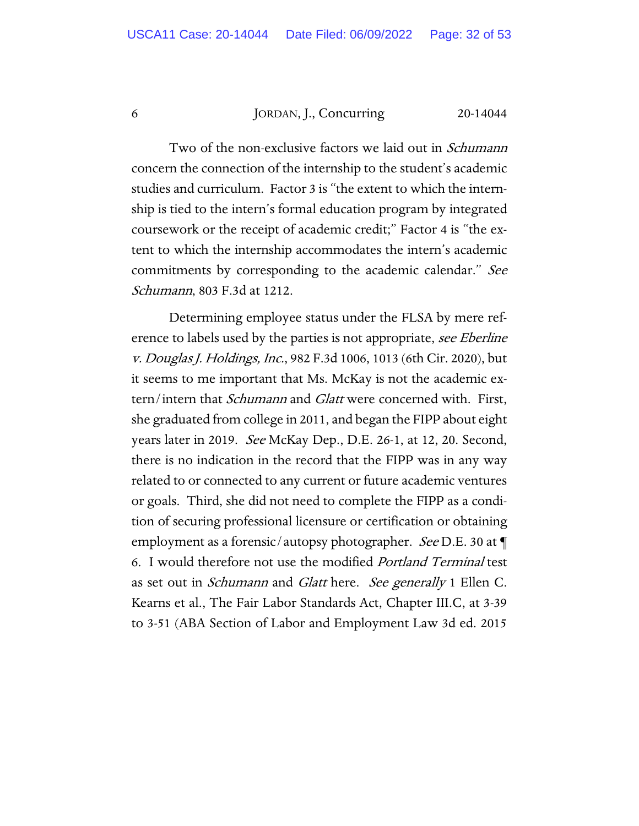Two of the non-exclusive factors we laid out in *Schumann* concern the connection of the internship to the student's academic studies and curriculum. Factor 3 is "the extent to which the internship is tied to the intern's formal education program by integrated coursework or the receipt of academic credit;" Factor 4 is "the extent to which the internship accommodates the intern's academic commitments by corresponding to the academic calendar." See Schumann, 803 F.3d at 1212.

Determining employee status under the FLSA by mere reference to labels used by the parties is not appropriate, see Eberline v. Douglas J. Holdings, Inc., 982 F.3d 1006, 1013 (6th Cir. 2020), but it seems to me important that Ms. McKay is not the academic extern/intern that Schumann and Glatt were concerned with. First, she graduated from college in 2011, and began the FIPP about eight years later in 2019. See McKay Dep., D.E. 26-1, at 12, 20. Second, there is no indication in the record that the FIPP was in any way related to or connected to any current or future academic ventures or goals. Third, she did not need to complete the FIPP as a condition of securing professional licensure or certification or obtaining employment as a forensic/autopsy photographer. See D.E. 30 at  $\P$ 6. I would therefore not use the modified Portland Terminal test as set out in *Schumann* and *Glatt* here. See generally 1 Ellen C. Kearns et al., The Fair Labor Standards Act, Chapter III.C, at 3-39 to 3-51 (ABA Section of Labor and Employment Law 3d ed. 2015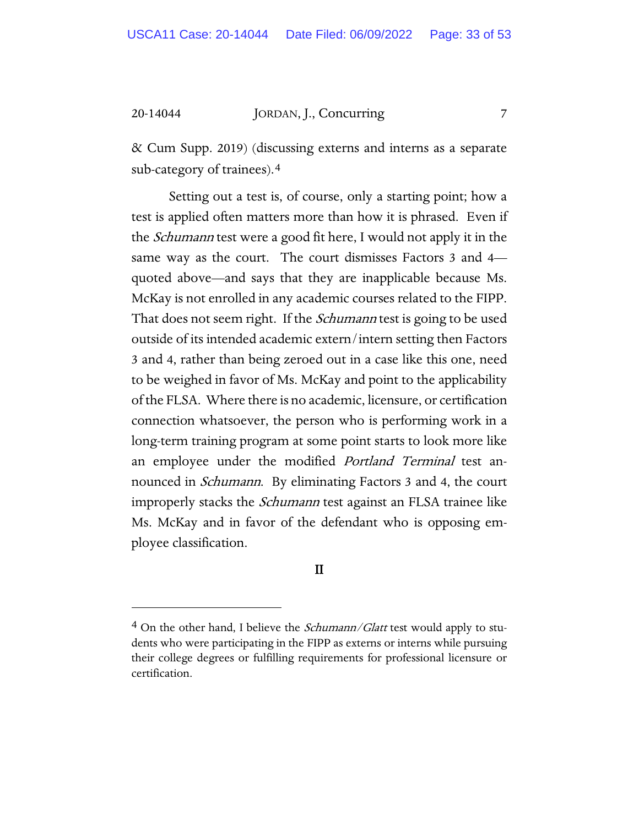& Cum Supp. 2019) (discussing externs and interns as a separate sub-category of trainees).[4](#page-32-0)

Setting out a test is, of course, only a starting point; how a test is applied often matters more than how it is phrased. Even if the Schumann test were a good fit here, I would not apply it in the same way as the court. The court dismisses Factors 3 and 4 quoted above—and says that they are inapplicable because Ms. McKay is not enrolled in any academic courses related to the FIPP. That does not seem right. If the *Schumann* test is going to be used outside of its intended academic extern/intern setting then Factors 3 and 4, rather than being zeroed out in a case like this one, need to be weighed in favor of Ms. McKay and point to the applicability of the FLSA. Where there is no academic, licensure, or certification connection whatsoever, the person who is performing work in a long-term training program at some point starts to look more like an employee under the modified *Portland Terminal* test announced in *Schumann*. By eliminating Factors 3 and 4, the court improperly stacks the *Schumann* test against an FLSA trainee like Ms. McKay and in favor of the defendant who is opposing employee classification.

## II

<span id="page-32-0"></span> $4$  On the other hand, I believe the *Schumann/Glatt* test would apply to students who were participating in the FIPP as externs or interns while pursuing their college degrees or fulfilling requirements for professional licensure or certification.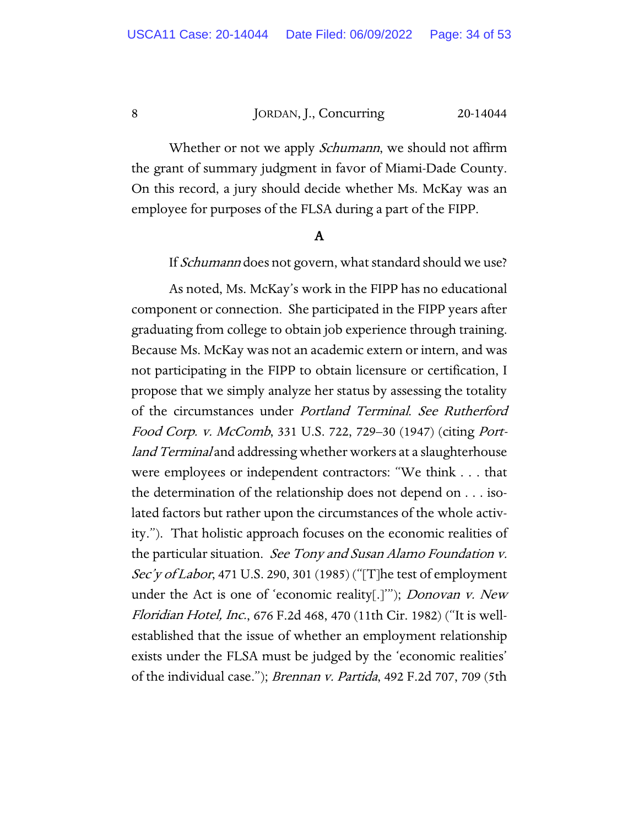Whether or not we apply *Schumann*, we should not affirm the grant of summary judgment in favor of Miami-Dade County. On this record, a jury should decide whether Ms. McKay was an employee for purposes of the FLSA during a part of the FIPP.

## A

If *Schumann* does not govern, what standard should we use?

As noted, Ms. McKay's work in the FIPP has no educational component or connection. She participated in the FIPP years after graduating from college to obtain job experience through training. Because Ms. McKay was not an academic extern or intern, and was not participating in the FIPP to obtain licensure or certification, I propose that we simply analyze her status by assessing the totality of the circumstances under Portland Terminal. See Rutherford Food Corp. v. McComb, 331 U.S. 722, 729–30 (1947) (citing Portland Terminal and addressing whether workers at a slaughterhouse were employees or independent contractors: "We think . . . that the determination of the relationship does not depend on . . . isolated factors but rather upon the circumstances of the whole activity."). That holistic approach focuses on the economic realities of the particular situation. See Tony and Susan Alamo Foundation v. Sec'y of Labor, 471 U.S. 290, 301 (1985) ("[T]he test of employment under the Act is one of 'economic reality[.]"); *Donovan v. New* Floridian Hotel, Inc., 676 F.2d 468, 470 (11th Cir. 1982) ("It is wellestablished that the issue of whether an employment relationship exists under the FLSA must be judged by the 'economic realities' of the individual case."); Brennan v. Partida, 492 F.2d 707, 709 (5th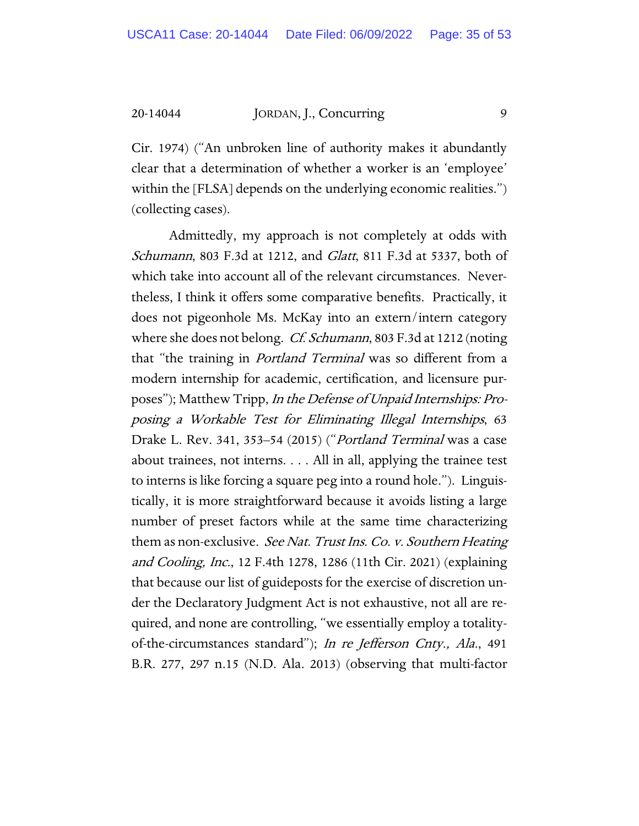Cir. 1974) ("An unbroken line of authority makes it abundantly clear that a determination of whether a worker is an 'employee' within the [FLSA] depends on the underlying economic realities.") (collecting cases).

Admittedly, my approach is not completely at odds with Schumann, 803 F.3d at 1212, and *Glatt*, 811 F.3d at 5337, both of which take into account all of the relevant circumstances. Nevertheless, I think it offers some comparative benefits. Practically, it does not pigeonhole Ms. McKay into an extern/intern category where she does not belong. *Cf. Schumann*, 803 F.3d at 1212 (noting that "the training in Portland Terminal was so different from a modern internship for academic, certification, and licensure purposes"); Matthew Tripp, In the Defense of Unpaid Internships: Proposing a Workable Test for Eliminating Illegal Internships, 63 Drake L. Rev. 341, 353–54 (2015) ("Portland Terminal was a case about trainees, not interns. . . . All in all, applying the trainee test to interns is like forcing a square peg into a round hole."). Linguistically, it is more straightforward because it avoids listing a large number of preset factors while at the same time characterizing them as non-exclusive. See Nat. Trust Ins. Co. v. Southern Heating and Cooling, Inc., 12 F.4th 1278, 1286 (11th Cir. 2021) (explaining that because our list of guideposts for the exercise of discretion under the Declaratory Judgment Act is not exhaustive, not all are required, and none are controlling, "we essentially employ a totalityof-the-circumstances standard"); In re Jefferson Cnty., Ala., 491 B.R. 277, 297 n.15 (N.D. Ala. 2013) (observing that multi-factor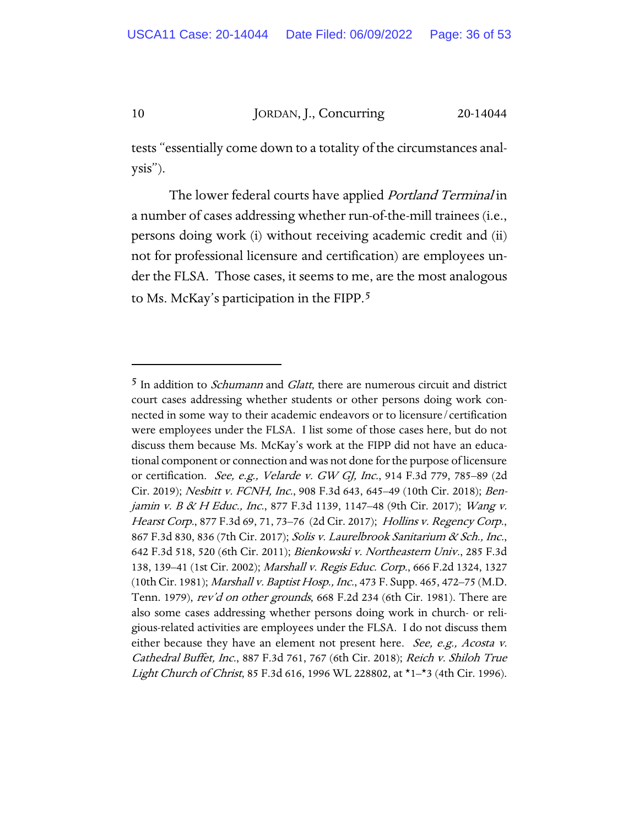tests "essentially come down to a totality of the circumstances analysis").

The lower federal courts have applied *Portland Terminal* in a number of cases addressing whether run-of-the-mill trainees (i.e., persons doing work (i) without receiving academic credit and (ii) not for professional licensure and certification) are employees under the FLSA. Those cases, it seems to me, are the most analogous to Ms. McKay's participation in the FIPP.[5](#page-35-0)

<span id="page-35-0"></span> $5$  In addition to *Schumann* and *Glatt*, there are numerous circuit and district court cases addressing whether students or other persons doing work connected in some way to their academic endeavors or to licensure/certification were employees under the FLSA. I list some of those cases here, but do not discuss them because Ms. McKay's work at the FIPP did not have an educational component or connection and was not done for the purpose of licensure or certification. See, e.g., Velarde v. GW GJ, Inc., 914 F.3d 779, 785–89 (2d Cir. 2019); Nesbitt v. FCNH, Inc., 908 F.3d 643, 645–49 (10th Cir. 2018); Benjamin v. B & H Educ., Inc., 877 F.3d 1139, 1147–48 (9th Cir. 2017); Wang v. Hearst Corp., 877 F.3d 69, 71, 73–76 (2d Cir. 2017); Hollins v. Regency Corp., 867 F.3d 830, 836 (7th Cir. 2017); Solis v. Laurelbrook Sanitarium & Sch., Inc., 642 F.3d 518, 520 (6th Cir. 2011); Bienkowski v. Northeastern Univ., 285 F.3d 138, 139-41 (1st Cir. 2002); Marshall v. Regis Educ. Corp., 666 F.2d 1324, 1327 (10th Cir. 1981); Marshall v. Baptist Hosp., Inc., 473 F. Supp. 465, 472–75 (M.D. Tenn. 1979), rev'd on other grounds, 668 F.2d 234 (6th Cir. 1981). There are also some cases addressing whether persons doing work in church- or religious-related activities are employees under the FLSA. I do not discuss them either because they have an element not present here. See, e.g., Acosta v. Cathedral Buffet, Inc., 887 F.3d 761, 767 (6th Cir. 2018); Reich v. Shiloh True Light Church of Christ, 85 F.3d 616, 1996 WL 228802, at \*1–\*3 (4th Cir. 1996).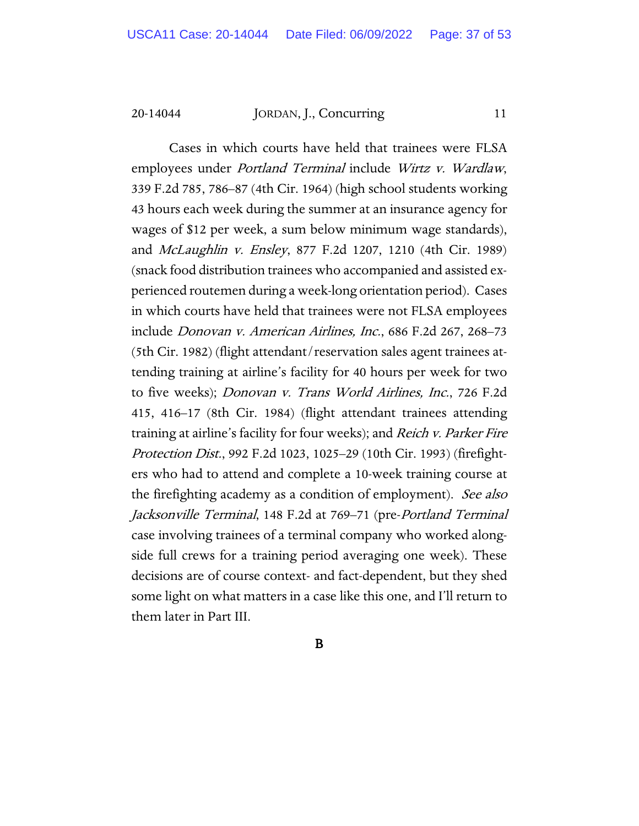Cases in which courts have held that trainees were FLSA employees under *Portland Terminal* include Wirtz v. Wardlaw, 339 F.2d 785, 786–87 (4th Cir. 1964) (high school students working 43 hours each week during the summer at an insurance agency for wages of \$12 per week, a sum below minimum wage standards), and *McLaughlin v. Ensley*, 877 F.2d 1207, 1210 (4th Cir. 1989) (snack food distribution trainees who accompanied and assisted experienced routemen during a week-long orientation period). Cases in which courts have held that trainees were not FLSA employees include Donovan v. American Airlines, Inc., 686 F.2d 267, 268–73 (5th Cir. 1982) (flight attendant/reservation sales agent trainees attending training at airline's facility for 40 hours per week for two to five weeks); Donovan v. Trans World Airlines, Inc., 726 F.2d 415, 416–17 (8th Cir. 1984) (flight attendant trainees attending training at airline's facility for four weeks); and Reich v. Parker Fire Protection Dist., 992 F.2d 1023, 1025–29 (10th Cir. 1993) (firefighters who had to attend and complete a 10-week training course at the firefighting academy as a condition of employment). See also Jacksonville Terminal, 148 F.2d at 769–71 (pre-Portland Terminal case involving trainees of a terminal company who worked alongside full crews for a training period averaging one week). These decisions are of course context- and fact-dependent, but they shed some light on what matters in a case like this one, and I'll return to them later in Part III.

B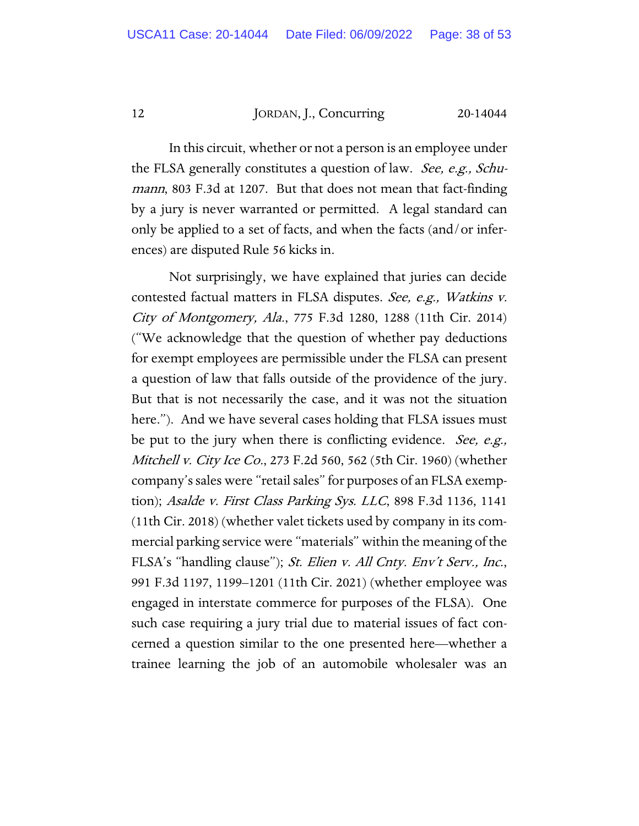In this circuit, whether or not a person is an employee under the FLSA generally constitutes a question of law. See, e.g., Schumann, 803 F.3d at 1207. But that does not mean that fact-finding by a jury is never warranted or permitted. A legal standard can only be applied to a set of facts, and when the facts (and/or inferences) are disputed Rule 56 kicks in.

Not surprisingly, we have explained that juries can decide contested factual matters in FLSA disputes. See, e.g., Watkins v. City of Montgomery, Ala., 775 F.3d 1280, 1288 (11th Cir. 2014) ("We acknowledge that the question of whether pay deductions for exempt employees are permissible under the FLSA can present a question of law that falls outside of the providence of the jury. But that is not necessarily the case, and it was not the situation here."). And we have several cases holding that FLSA issues must be put to the jury when there is conflicting evidence. *See, e.g.*, *Mitchell v. City Ice Co.*, 273 F.2d 560, 562 (5th Cir. 1960) (whether company's sales were "retail sales" for purposes of an FLSA exemption); Asalde v. First Class Parking Sys. LLC, 898 F.3d 1136, 1141 (11th Cir. 2018) (whether valet tickets used by company in its commercial parking service were "materials" within the meaning of the FLSA's "handling clause"); St. Elien v. All Cnty. Env't Serv., Inc., 991 F.3d 1197, 1199–1201 (11th Cir. 2021) (whether employee was engaged in interstate commerce for purposes of the FLSA). One such case requiring a jury trial due to material issues of fact concerned a question similar to the one presented here—whether a trainee learning the job of an automobile wholesaler was an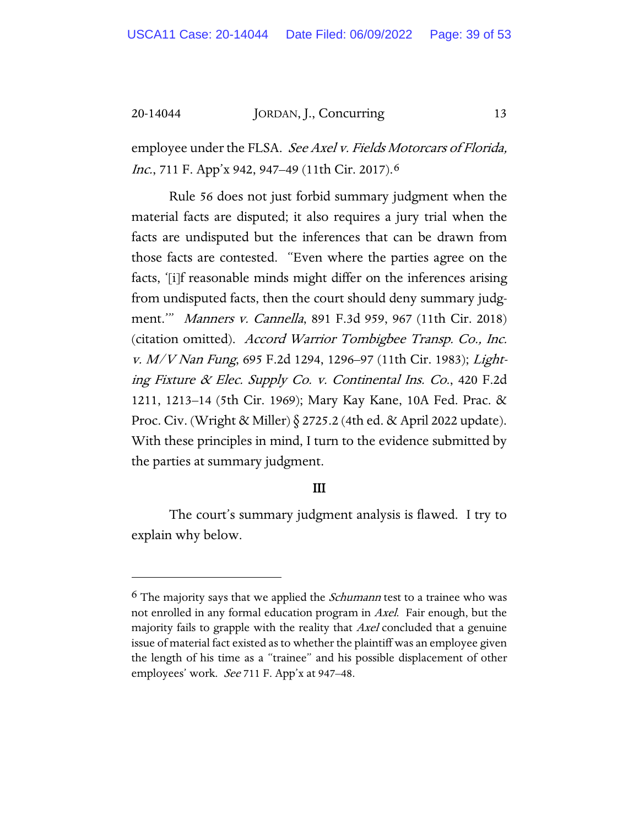employee under the FLSA. See Axel v. Fields Motorcars of Florida, Inc., 711 F. App'x 942, 947-49 (11th Cir. 2017).<sup>[6](#page-38-0)</sup>

Rule 56 does not just forbid summary judgment when the material facts are disputed; it also requires a jury trial when the facts are undisputed but the inferences that can be drawn from those facts are contested. "Even where the parties agree on the facts, '[i]f reasonable minds might differ on the inferences arising from undisputed facts, then the court should deny summary judgment.'" Manners v. Cannella, 891 F.3d 959, 967 (11th Cir. 2018) (citation omitted). Accord Warrior Tombigbee Transp. Co., Inc. v. M/V Nan Fung, 695 F.2d 1294, 1296–97 (11th Cir. 1983); Lighting Fixture & Elec. Supply Co. v. Continental Ins. Co., 420 F.2d 1211, 1213–14 (5th Cir. 1969); Mary Kay Kane, 10A Fed. Prac. & Proc. Civ. (Wright & Miller) § 2725.2 (4th ed. & April 2022 update). With these principles in mind, I turn to the evidence submitted by the parties at summary judgment.

## III

The court's summary judgment analysis is flawed. I try to explain why below.

<span id="page-38-0"></span> $6$  The majority says that we applied the *Schumann* test to a trainee who was not enrolled in any formal education program in Axel. Fair enough, but the majority fails to grapple with the reality that Axel concluded that a genuine issue of material fact existed as to whether the plaintiff was an employee given the length of his time as a "trainee" and his possible displacement of other employees' work. *See* 711 F. App'x at 947–48.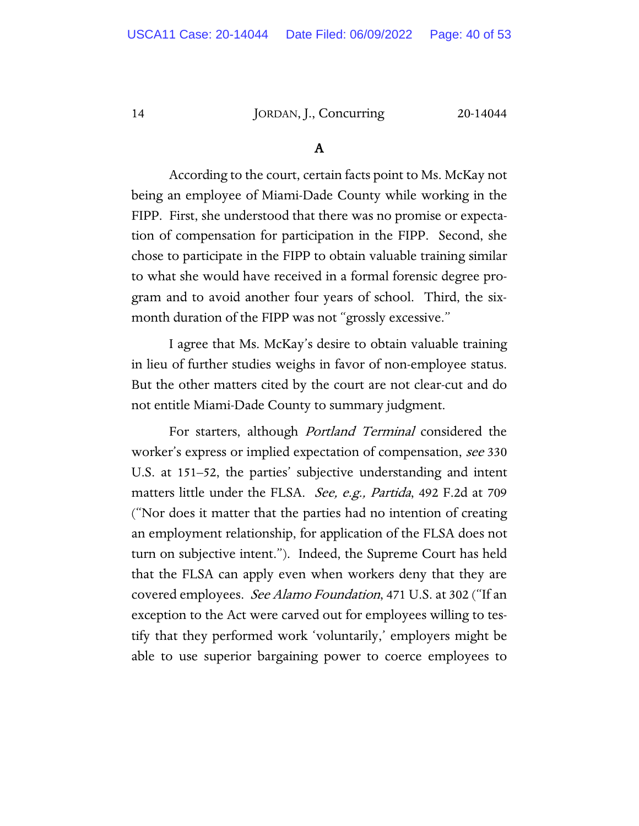## A

According to the court, certain facts point to Ms. McKay not being an employee of Miami-Dade County while working in the FIPP. First, she understood that there was no promise or expectation of compensation for participation in the FIPP. Second, she chose to participate in the FIPP to obtain valuable training similar to what she would have received in a formal forensic degree program and to avoid another four years of school. Third, the sixmonth duration of the FIPP was not "grossly excessive."

I agree that Ms. McKay's desire to obtain valuable training in lieu of further studies weighs in favor of non-employee status. But the other matters cited by the court are not clear-cut and do not entitle Miami-Dade County to summary judgment.

For starters, although Portland Terminal considered the worker's express or implied expectation of compensation, see 330 U.S. at 151–52, the parties' subjective understanding and intent matters little under the FLSA. *See, e.g., Partida*, 492 F.2d at 709 ("Nor does it matter that the parties had no intention of creating an employment relationship, for application of the FLSA does not turn on subjective intent."). Indeed, the Supreme Court has held that the FLSA can apply even when workers deny that they are covered employees. *See Alamo Foundation*, 471 U.S. at 302 ("If an exception to the Act were carved out for employees willing to testify that they performed work 'voluntarily,' employers might be able to use superior bargaining power to coerce employees to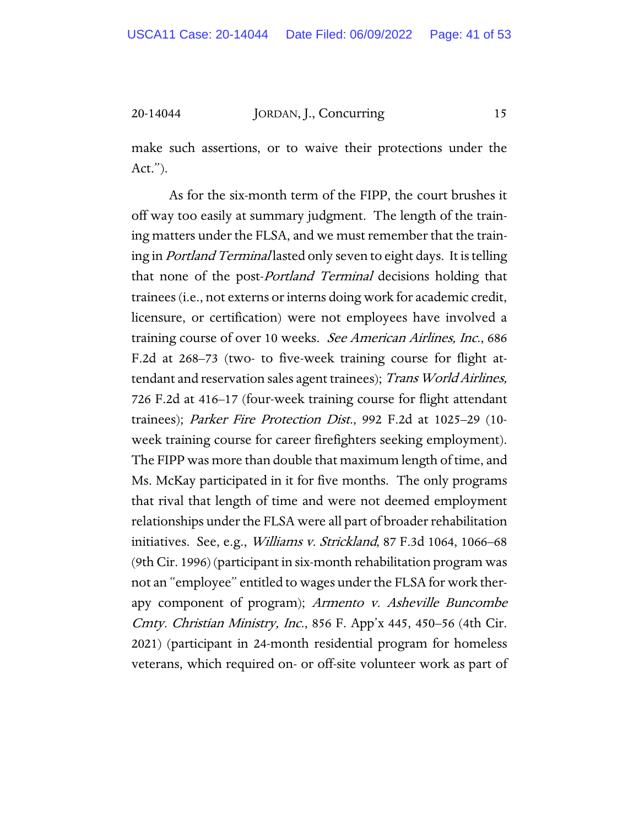make such assertions, or to waive their protections under the Act.").

As for the six-month term of the FIPP, the court brushes it off way too easily at summary judgment. The length of the training matters under the FLSA, and we must remember that the training in *Portland Terminal* lasted only seven to eight days. It is telling that none of the post-*Portland Terminal* decisions holding that trainees (i.e., not externs or interns doing work for academic credit, licensure, or certification) were not employees have involved a training course of over 10 weeks. See American Airlines, Inc., 686 F.2d at 268–73 (two- to five-week training course for flight attendant and reservation sales agent trainees); Trans World Airlines, 726 F.2d at 416–17 (four-week training course for flight attendant trainees); Parker Fire Protection Dist., 992 F.2d at 1025-29 (10week training course for career firefighters seeking employment). The FIPP was more than double that maximum length of time, and Ms. McKay participated in it for five months. The only programs that rival that length of time and were not deemed employment relationships under the FLSA were all part of broader rehabilitation initiatives. See, e.g., *Williams v. Strickland*, 87 F.3d 1064, 1066–68 (9th Cir. 1996) (participant in six-month rehabilitation program was not an "employee" entitled to wages under the FLSA for work therapy component of program); Armento v. Asheville Buncombe Cmty. Christian Ministry, Inc., 856 F. App'x 445, 450–56 (4th Cir. 2021) (participant in 24-month residential program for homeless veterans, which required on- or off-site volunteer work as part of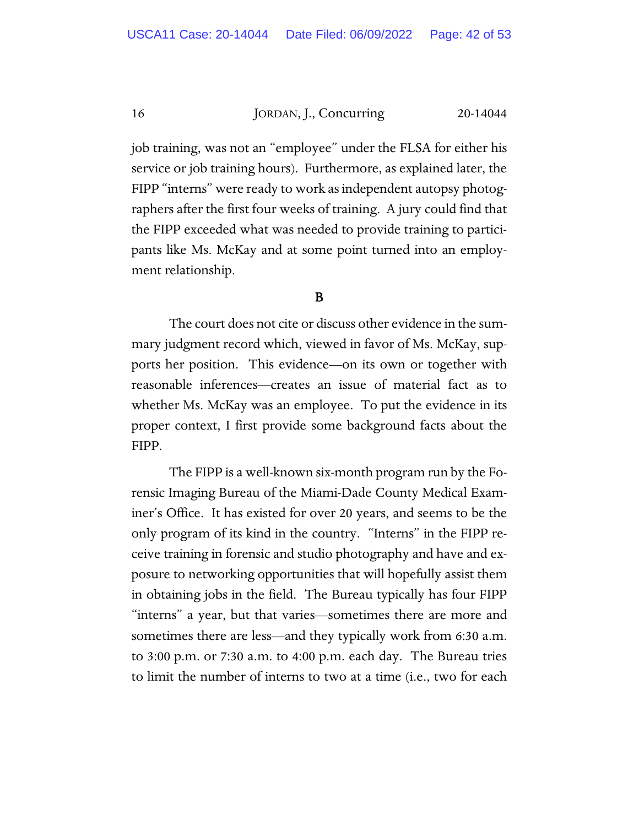job training, was not an "employee" under the FLSA for either his service or job training hours). Furthermore, as explained later, the FIPP "interns" were ready to work as independent autopsy photographers after the first four weeks of training. A jury could find that the FIPP exceeded what was needed to provide training to participants like Ms. McKay and at some point turned into an employment relationship.

## B

The court does not cite or discuss other evidence in the summary judgment record which, viewed in favor of Ms. McKay, supports her position. This evidence—on its own or together with reasonable inferences—creates an issue of material fact as to whether Ms. McKay was an employee. To put the evidence in its proper context, I first provide some background facts about the FIPP.

The FIPP is a well-known six-month program run by the Forensic Imaging Bureau of the Miami-Dade County Medical Examiner's Office. It has existed for over 20 years, and seems to be the only program of its kind in the country. "Interns" in the FIPP receive training in forensic and studio photography and have and exposure to networking opportunities that will hopefully assist them in obtaining jobs in the field. The Bureau typically has four FIPP "interns" a year, but that varies—sometimes there are more and sometimes there are less—and they typically work from 6:30 a.m. to 3:00 p.m. or 7:30 a.m. to 4:00 p.m. each day. The Bureau tries to limit the number of interns to two at a time (i.e., two for each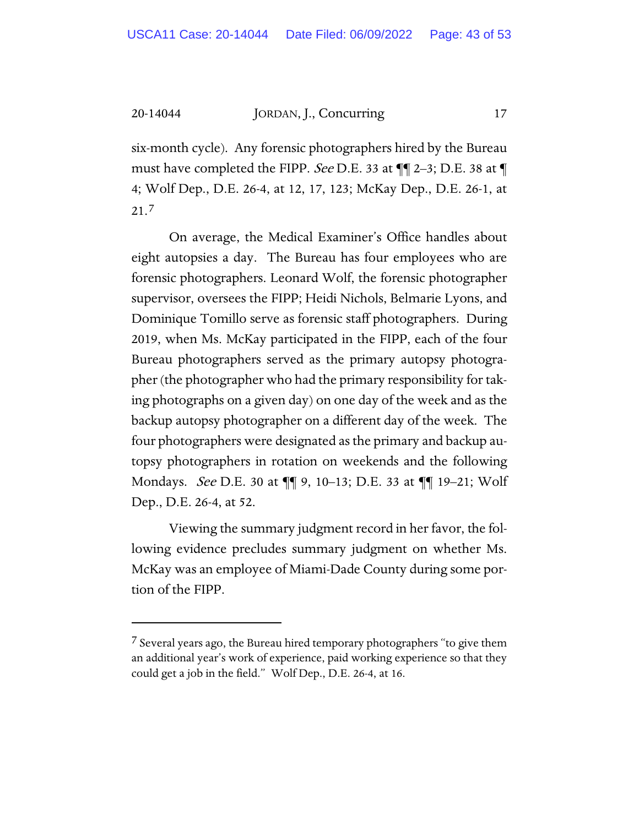six-month cycle). Any forensic photographers hired by the Bureau must have completed the FIPP. See D.E. 33 at  $\P$  2–3; D.E. 38 at  $\P$ 4; Wolf Dep., D.E. 26-4, at 12, 17, 123; McKay Dep., D.E. 26-1, at 21.[7](#page-42-0)

On average, the Medical Examiner's Office handles about eight autopsies a day. The Bureau has four employees who are forensic photographers. Leonard Wolf, the forensic photographer supervisor, oversees the FIPP; Heidi Nichols, Belmarie Lyons, and Dominique Tomillo serve as forensic staff photographers. During 2019, when Ms. McKay participated in the FIPP, each of the four Bureau photographers served as the primary autopsy photographer (the photographer who had the primary responsibility for taking photographs on a given day) on one day of the week and as the backup autopsy photographer on a different day of the week. The four photographers were designated as the primary and backup autopsy photographers in rotation on weekends and the following Mondays. See D.E. 30 at ¶¶ 9, 10–13; D.E. 33 at ¶¶ 19–21; Wolf Dep., D.E. 26-4, at 52.

Viewing the summary judgment record in her favor, the following evidence precludes summary judgment on whether Ms. McKay was an employee of Miami-Dade County during some portion of the FIPP.

<span id="page-42-0"></span><sup>&</sup>lt;sup>7</sup> Several years ago, the Bureau hired temporary photographers "to give them an additional year's work of experience, paid working experience so that they could get a job in the field." Wolf Dep., D.E. 26-4, at 16.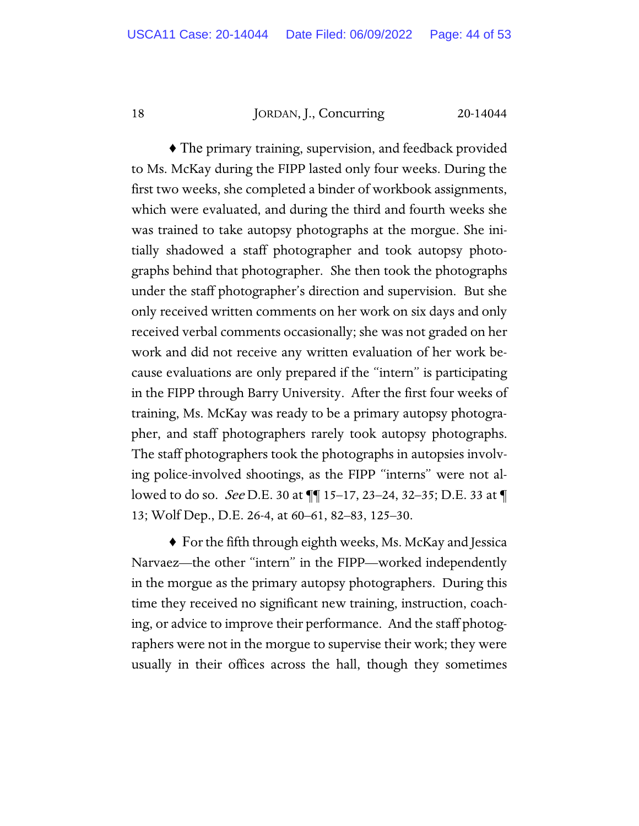♦ The primary training, supervision, and feedback provided to Ms. McKay during the FIPP lasted only four weeks. During the first two weeks, she completed a binder of workbook assignments, which were evaluated, and during the third and fourth weeks she was trained to take autopsy photographs at the morgue. She initially shadowed a staff photographer and took autopsy photographs behind that photographer. She then took the photographs under the staff photographer's direction and supervision. But she only received written comments on her work on six days and only received verbal comments occasionally; she was not graded on her work and did not receive any written evaluation of her work because evaluations are only prepared if the "intern" is participating in the FIPP through Barry University. After the first four weeks of training, Ms. McKay was ready to be a primary autopsy photographer, and staff photographers rarely took autopsy photographs. The staff photographers took the photographs in autopsies involving police-involved shootings, as the FIPP "interns" were not allowed to do so. See D.E. 30 at ¶¶ 15–17, 23–24, 32–35; D.E. 33 at ¶ 13; Wolf Dep., D.E. 26-4, at 60–61, 82–83, 125–30.

♦ For the fifth through eighth weeks, Ms. McKay and Jessica Narvaez—the other "intern" in the FIPP—worked independently in the morgue as the primary autopsy photographers. During this time they received no significant new training, instruction, coaching, or advice to improve their performance. And the staff photographers were not in the morgue to supervise their work; they were usually in their offices across the hall, though they sometimes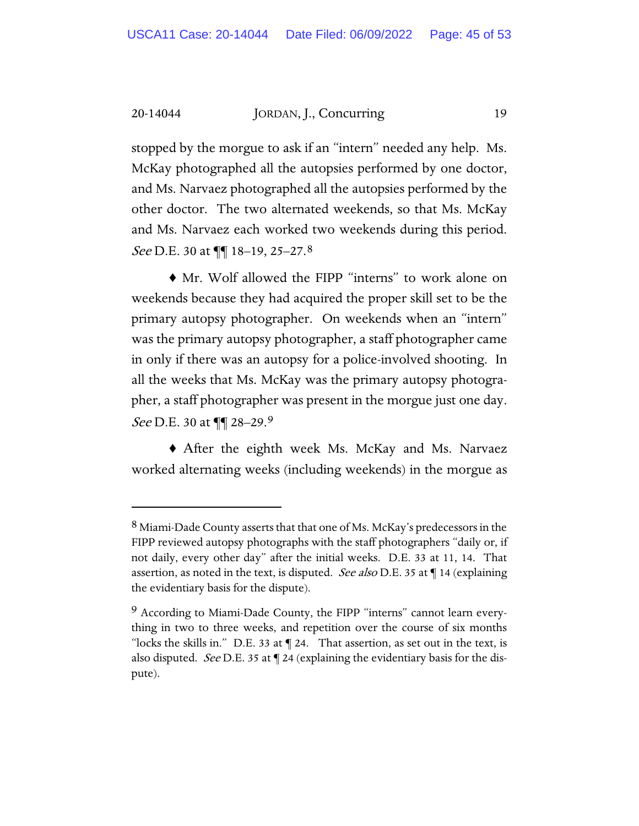stopped by the morgue to ask if an "intern" needed any help. Ms. McKay photographed all the autopsies performed by one doctor, and Ms. Narvaez photographed all the autopsies performed by the other doctor. The two alternated weekends, so that Ms. McKay and Ms. Narvaez each worked two weekends during this period. See D.E. 30 at  $\P\P$  18–19, 25–27.8

♦ Mr. Wolf allowed the FIPP "interns" to work alone on weekends because they had acquired the proper skill set to be the primary autopsy photographer. On weekends when an "intern" was the primary autopsy photographer, a staff photographer came in only if there was an autopsy for a police-involved shooting. In all the weeks that Ms. McKay was the primary autopsy photographer, a staff photographer was present in the morgue just one day. See D.E. 30 at  $\P\P$  28–2[9](#page-44-1).9

♦ After the eighth week Ms. McKay and Ms. Narvaez worked alternating weeks (including weekends) in the morgue as

<span id="page-44-0"></span><sup>&</sup>lt;sup>8</sup> Miami-Dade County asserts that that one of Ms. McKay's predecessors in the FIPP reviewed autopsy photographs with the staff photographers "daily or, if not daily, every other day" after the initial weeks. D.E. 33 at 11, 14. That assertion, as noted in the text, is disputed. See also D.E. 35 at ¶ 14 (explaining the evidentiary basis for the dispute).

<span id="page-44-1"></span><sup>9</sup> According to Miami-Dade County, the FIPP "interns" cannot learn everything in two to three weeks, and repetition over the course of six months "locks the skills in." D.E. 33 at ¶ 24. That assertion, as set out in the text, is also disputed. *See* D.E. 35 at  $\P$  24 (explaining the evidentiary basis for the dispute).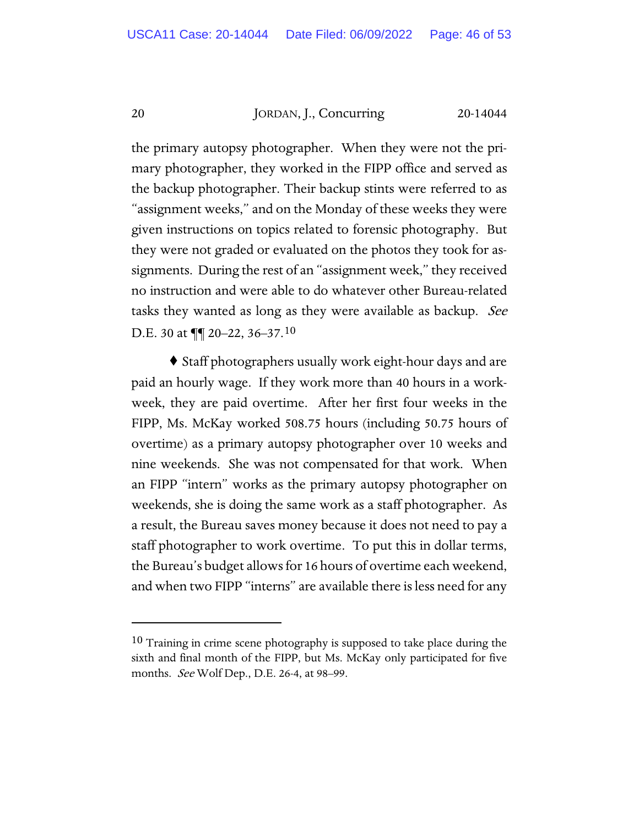the primary autopsy photographer. When they were not the primary photographer, they worked in the FIPP office and served as the backup photographer. Their backup stints were referred to as "assignment weeks," and on the Monday of these weeks they were given instructions on topics related to forensic photography. But they were not graded or evaluated on the photos they took for assignments. During the rest of an "assignment week," they received no instruction and were able to do whatever other Bureau-related tasks they wanted as long as they were available as backup. See D.E. 30 at  $\P\P$  20–22, 36–37.[10](#page-45-0)

♦ Staff photographers usually work eight-hour days and are paid an hourly wage. If they work more than 40 hours in a workweek, they are paid overtime. After her first four weeks in the FIPP, Ms. McKay worked 508.75 hours (including 50.75 hours of overtime) as a primary autopsy photographer over 10 weeks and nine weekends. She was not compensated for that work. When an FIPP "intern" works as the primary autopsy photographer on weekends, she is doing the same work as a staff photographer. As a result, the Bureau saves money because it does not need to pay a staff photographer to work overtime. To put this in dollar terms, the Bureau's budget allows for 16 hours of overtime each weekend, and when two FIPP "interns" are available there is less need for any

<span id="page-45-0"></span><sup>&</sup>lt;sup>10</sup> Training in crime scene photography is supposed to take place during the sixth and final month of the FIPP, but Ms. McKay only participated for five months. *See* Wolf Dep., D.E. 26-4, at 98–99.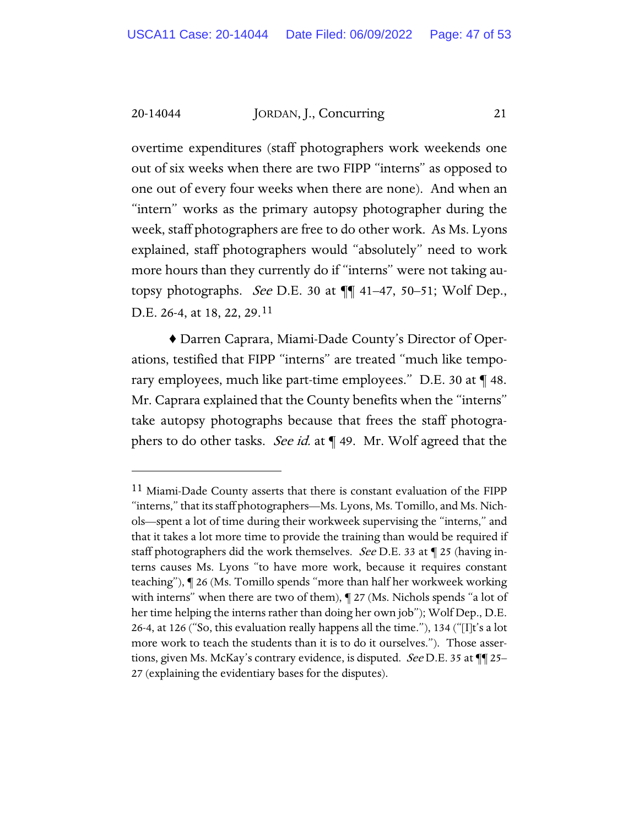overtime expenditures (staff photographers work weekends one out of six weeks when there are two FIPP "interns" as opposed to one out of every four weeks when there are none). And when an "intern" works as the primary autopsy photographer during the week, staff photographers are free to do other work. As Ms. Lyons explained, staff photographers would "absolutely" need to work more hours than they currently do if "interns" were not taking autopsy photographs. *See* D.E. 30 at  $\P\P$  41–47, 50–51; Wolf Dep., D.E. 26-4, at 18, 22, 29.[11](#page-46-0)

♦ Darren Caprara, Miami-Dade County's Director of Operations, testified that FIPP "interns" are treated "much like temporary employees, much like part-time employees." D.E. 30 at ¶ 48. Mr. Caprara explained that the County benefits when the "interns" take autopsy photographs because that frees the staff photographers to do other tasks. See id. at  $\P$  49. Mr. Wolf agreed that the

<span id="page-46-0"></span><sup>&</sup>lt;sup>11</sup> Miami-Dade County asserts that there is constant evaluation of the FIPP "interns," that its staff photographers—Ms. Lyons, Ms. Tomillo, and Ms. Nichols—spent a lot of time during their workweek supervising the "interns," and that it takes a lot more time to provide the training than would be required if staff photographers did the work themselves. See D.E. 33 at ¶ 25 (having interns causes Ms. Lyons "to have more work, because it requires constant teaching"), ¶ 26 (Ms. Tomillo spends "more than half her workweek working with interns" when there are two of them),  $\P$  27 (Ms. Nichols spends "a lot of her time helping the interns rather than doing her own job"); Wolf Dep., D.E. 26-4, at 126 ("So, this evaluation really happens all the time."), 134 ("[I]t's a lot more work to teach the students than it is to do it ourselves."). Those assertions, given Ms. McKay's contrary evidence, is disputed. See D.E. 35 at ¶¶ 25– 27 (explaining the evidentiary bases for the disputes).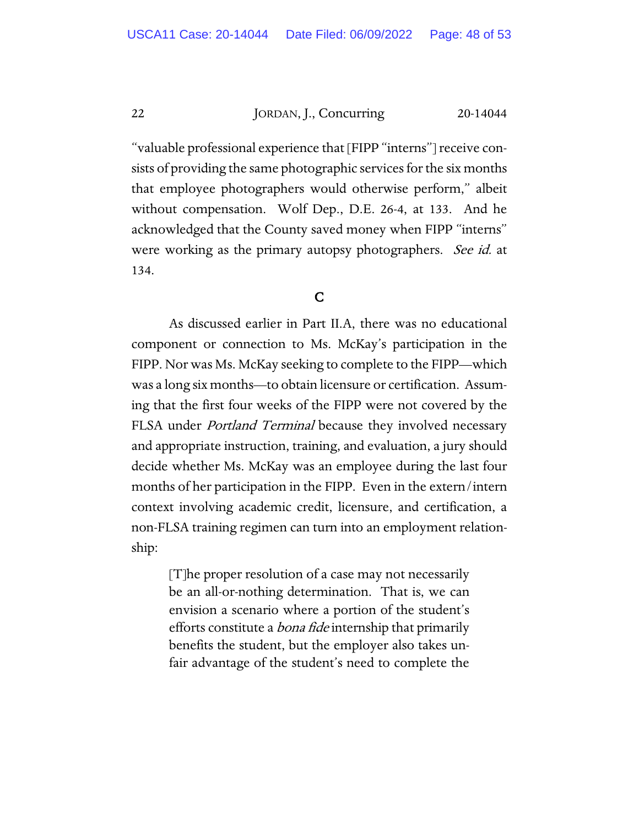"valuable professional experience that [FIPP "interns"] receive consists of providing the same photographic services for the six months that employee photographers would otherwise perform," albeit without compensation. Wolf Dep., D.E. 26-4, at 133. And he acknowledged that the County saved money when FIPP "interns" were working as the primary autopsy photographers. See id. at 134.

## C

As discussed earlier in Part II.A, there was no educational component or connection to Ms. McKay's participation in the FIPP. Nor was Ms. McKay seeking to complete to the FIPP—which was a long six months—to obtain licensure or certification. Assuming that the first four weeks of the FIPP were not covered by the FLSA under *Portland Terminal* because they involved necessary and appropriate instruction, training, and evaluation, a jury should decide whether Ms. McKay was an employee during the last four months of her participation in the FIPP. Even in the extern/intern context involving academic credit, licensure, and certification, a non-FLSA training regimen can turn into an employment relationship:

> [T]he proper resolution of a case may not necessarily be an all-or-nothing determination. That is, we can envision a scenario where a portion of the student's efforts constitute a *bona fide* internship that primarily benefits the student, but the employer also takes unfair advantage of the student's need to complete the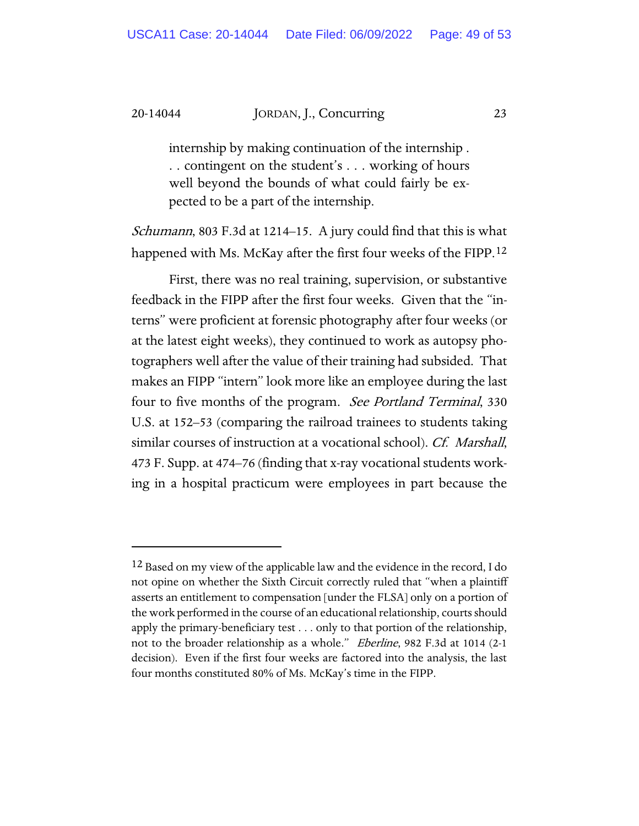internship by making continuation of the internship . . . contingent on the student's . . . working of hours well beyond the bounds of what could fairly be expected to be a part of the internship.

Schumann, 803 F.3d at 1214–15. A jury could find that this is what happened with Ms. McKay after the first four weeks of the FIPP.<sup>[12](#page-48-0)</sup>

First, there was no real training, supervision, or substantive feedback in the FIPP after the first four weeks. Given that the "interns" were proficient at forensic photography after four weeks (or at the latest eight weeks), they continued to work as autopsy photographers well after the value of their training had subsided. That makes an FIPP "intern" look more like an employee during the last four to five months of the program. See Portland Terminal, 330 U.S. at 152–53 (comparing the railroad trainees to students taking similar courses of instruction at a vocational school). Cf. Marshall, 473 F. Supp. at 474–76 (finding that x-ray vocational students working in a hospital practicum were employees in part because the

<span id="page-48-0"></span><sup>12</sup> Based on my view of the applicable law and the evidence in the record, I do not opine on whether the Sixth Circuit correctly ruled that "when a plaintiff asserts an entitlement to compensation [under the FLSA] only on a portion of the work performed in the course of an educational relationship, courts should apply the primary-beneficiary test . . . only to that portion of the relationship, not to the broader relationship as a whole." Eberline, 982 F.3d at 1014 (2-1 decision). Even if the first four weeks are factored into the analysis, the last four months constituted 80% of Ms. McKay's time in the FIPP.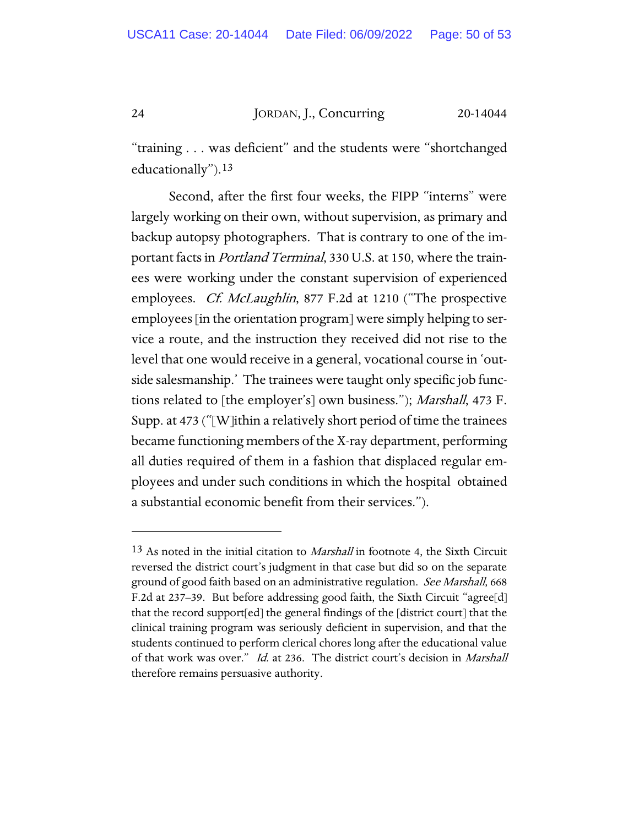"training . . . was deficient" and the students were "shortchanged educationally").[13](#page-49-0)

Second, after the first four weeks, the FIPP "interns" were largely working on their own, without supervision, as primary and backup autopsy photographers. That is contrary to one of the important facts in *Portland Terminal*, 330 U.S. at 150, where the trainees were working under the constant supervision of experienced employees. *Cf. McLaughlin*, 877 F.2d at 1210 ("The prospective employees [in the orientation program] were simply helping to service a route, and the instruction they received did not rise to the level that one would receive in a general, vocational course in 'outside salesmanship.' The trainees were taught only specific job functions related to [the employer's] own business."); *Marshall*, 473 F. Supp. at 473 ("[W]ithin a relatively short period of time the trainees became functioning members of the X-ray department, performing all duties required of them in a fashion that displaced regular employees and under such conditions in which the hospital obtained a substantial economic benefit from their services.").

<span id="page-49-0"></span> $13$  As noted in the initial citation to *Marshall* in footnote 4, the Sixth Circuit reversed the district court's judgment in that case but did so on the separate ground of good faith based on an administrative regulation. See Marshall, 668 F.2d at 237–39. But before addressing good faith, the Sixth Circuit "agree[d] that the record support[ed] the general findings of the [district court] that the clinical training program was seriously deficient in supervision, and that the students continued to perform clerical chores long after the educational value of that work was over." Id. at 236. The district court's decision in Marshall therefore remains persuasive authority.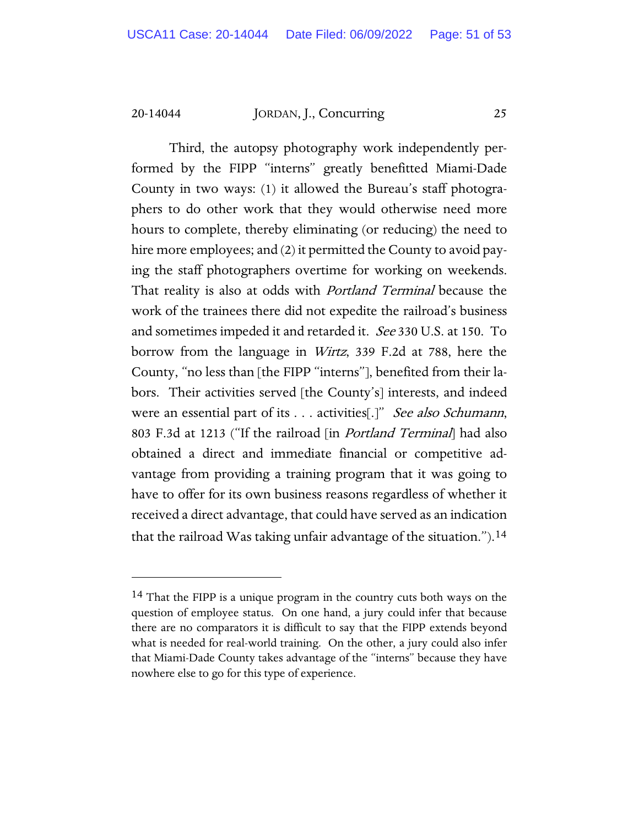Third, the autopsy photography work independently performed by the FIPP "interns" greatly benefitted Miami-Dade County in two ways: (1) it allowed the Bureau's staff photographers to do other work that they would otherwise need more hours to complete, thereby eliminating (or reducing) the need to hire more employees; and (2) it permitted the County to avoid paying the staff photographers overtime for working on weekends. That reality is also at odds with *Portland Terminal* because the work of the trainees there did not expedite the railroad's business and sometimes impeded it and retarded it. See 330 U.S. at 150. To borrow from the language in Wirtz, 339 F.2d at 788, here the County, "no less than [the FIPP "interns"], benefited from their labors. Their activities served [the County's] interests, and indeed were an essential part of its . . . activities[.]" See also Schumann, 803 F.3d at 1213 ("If the railroad [in Portland Terminal] had also obtained a direct and immediate financial or competitive advantage from providing a training program that it was going to have to offer for its own business reasons regardless of whether it received a direct advantage, that could have served as an indication that the railroad Was taking unfair advantage of the situation.").[14](#page-50-0) 

<span id="page-50-0"></span><sup>14</sup> That the FIPP is a unique program in the country cuts both ways on the question of employee status. On one hand, a jury could infer that because there are no comparators it is difficult to say that the FIPP extends beyond what is needed for real-world training. On the other, a jury could also infer that Miami-Dade County takes advantage of the "interns" because they have nowhere else to go for this type of experience.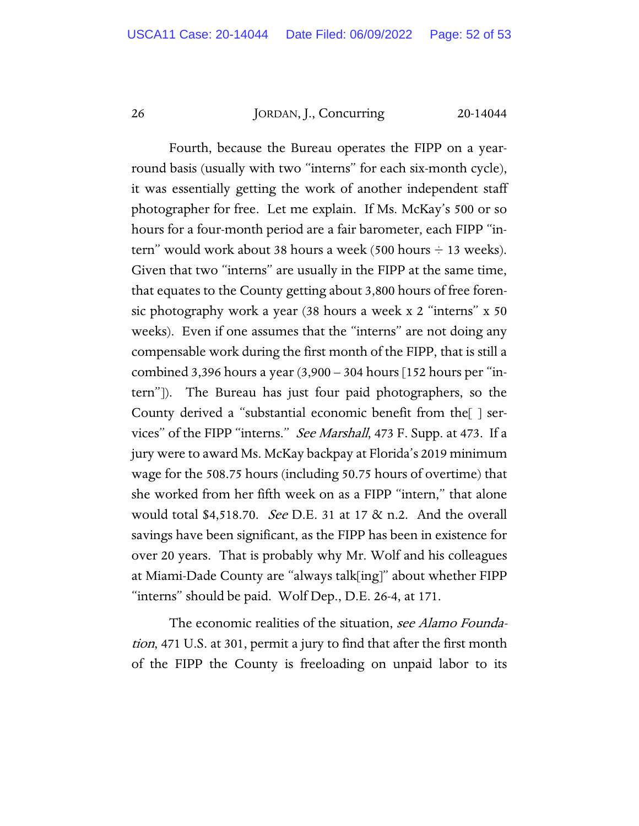Fourth, because the Bureau operates the FIPP on a yearround basis (usually with two "interns" for each six-month cycle), it was essentially getting the work of another independent staff photographer for free. Let me explain. If Ms. McKay's 500 or so hours for a four-month period are a fair barometer, each FIPP "intern" would work about 38 hours a week (500 hours  $\div$  13 weeks). Given that two "interns" are usually in the FIPP at the same time, that equates to the County getting about 3,800 hours of free forensic photography work a year (38 hours a week x 2 "interns" x 50 weeks). Even if one assumes that the "interns" are not doing any compensable work during the first month of the FIPP, that is still a combined 3,396 hours a year  $(3,900 - 304$  hours  $[152$  hours per "intern"]). The Bureau has just four paid photographers, so the County derived a "substantial economic benefit from the[ ] services" of the FIPP "interns." See Marshall, 473 F. Supp. at 473. If a jury were to award Ms. McKay backpay at Florida's 2019 minimum wage for the 508.75 hours (including 50.75 hours of overtime) that she worked from her fifth week on as a FIPP "intern," that alone would total \$4,518.70. See D.E. 31 at 17 & n.2. And the overall savings have been significant, as the FIPP has been in existence for over 20 years. That is probably why Mr. Wolf and his colleagues at Miami-Dade County are "always talk[ing]" about whether FIPP "interns" should be paid. Wolf Dep., D.E. 26-4, at 171.

The economic realities of the situation, see Alamo Foundation, 471 U.S. at 301, permit a jury to find that after the first month of the FIPP the County is freeloading on unpaid labor to its